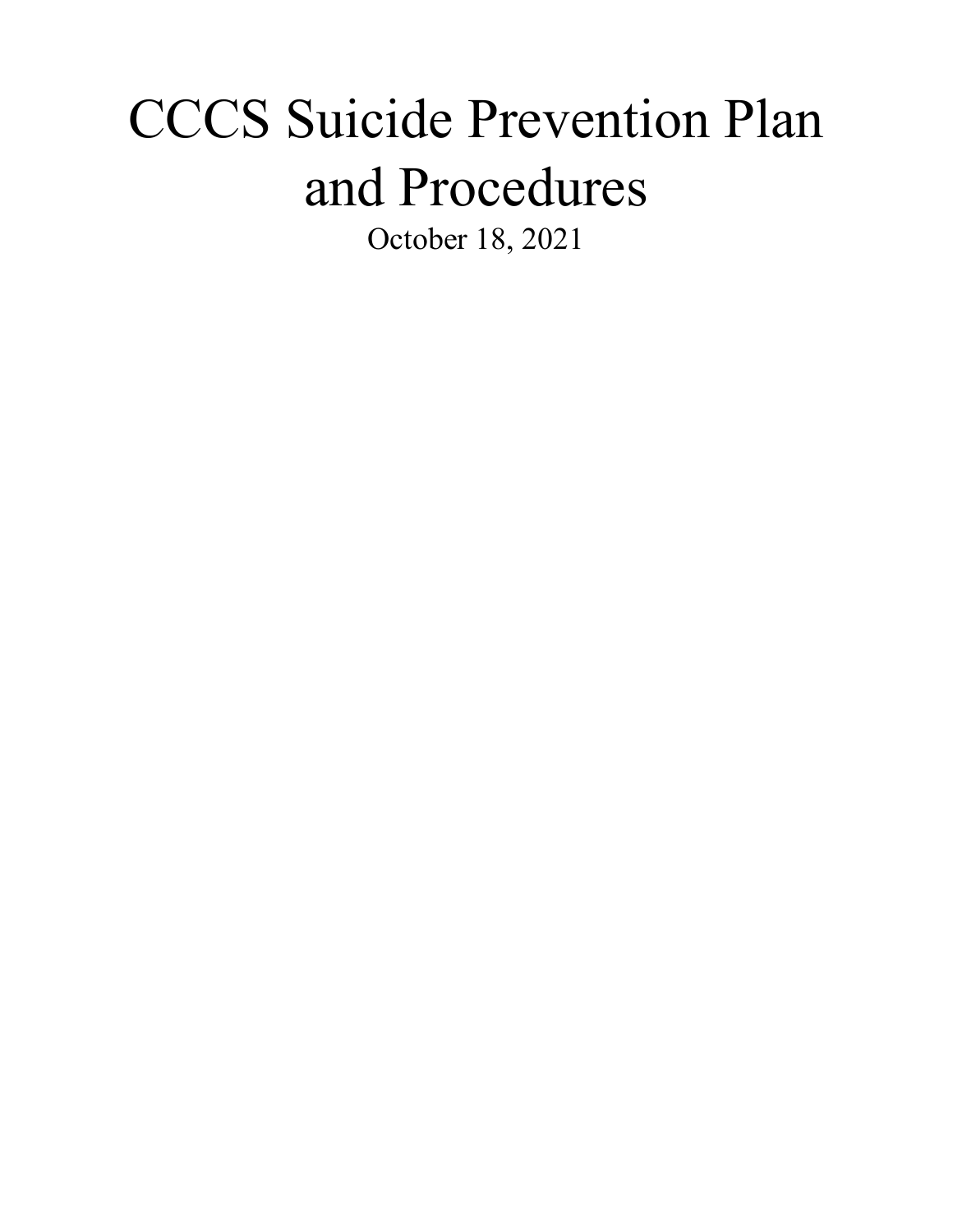# CCCS Suicide Prevention Plan and Procedures

October 18, 2021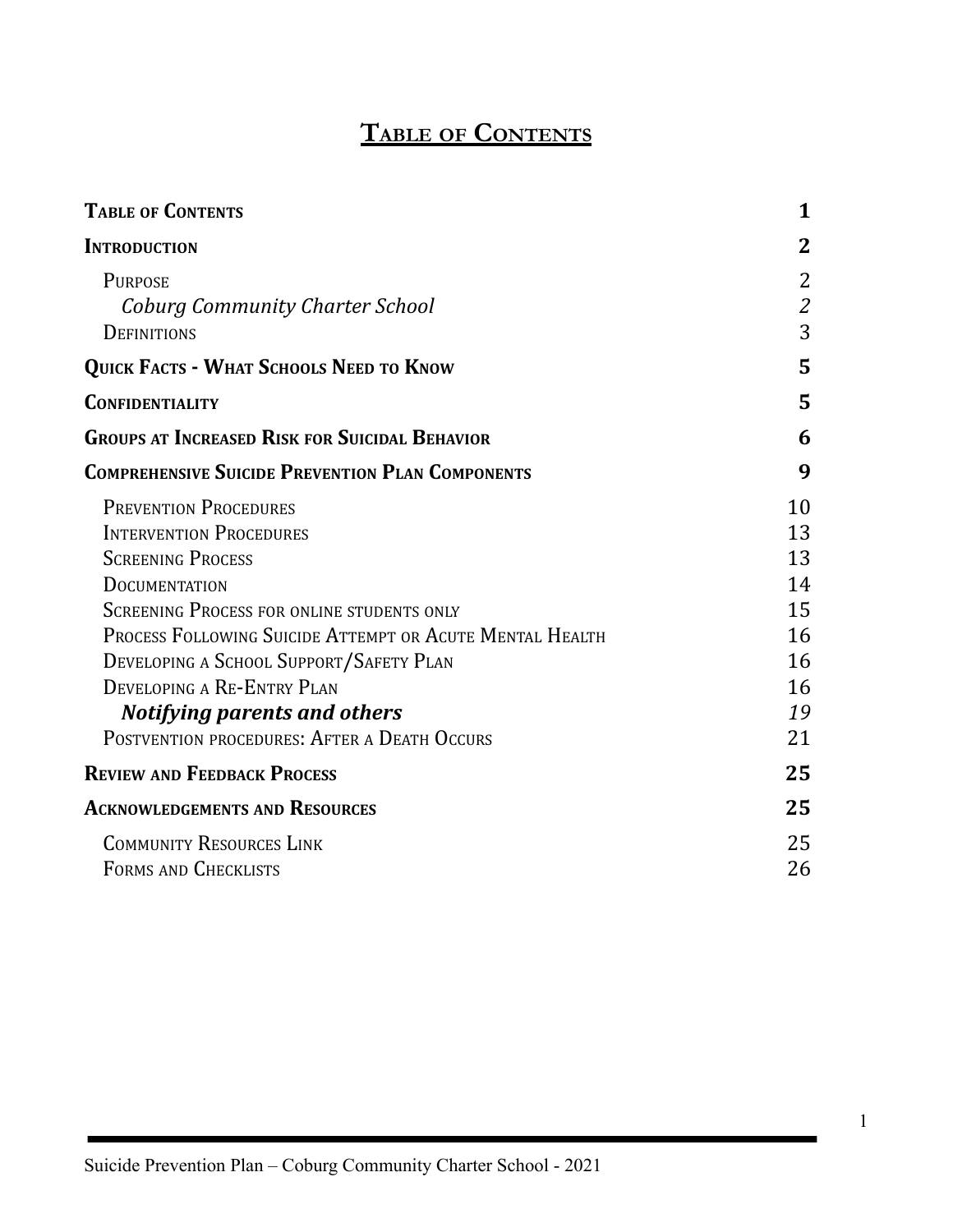# **TABLE OF CONTENTS**

<span id="page-1-0"></span>

| <b>TABLE OF CONTENTS</b>                                                                                                                                                                                                                                                                                                                                                                            | 1                                                        |
|-----------------------------------------------------------------------------------------------------------------------------------------------------------------------------------------------------------------------------------------------------------------------------------------------------------------------------------------------------------------------------------------------------|----------------------------------------------------------|
| <b>INTRODUCTION</b>                                                                                                                                                                                                                                                                                                                                                                                 | 2                                                        |
| <b>PURPOSE</b><br><b>Coburg Community Charter School</b><br><b>DEFINITIONS</b>                                                                                                                                                                                                                                                                                                                      | 2<br>$\mathcal{Z}_{\mathcal{C}}$<br>3                    |
| QUICK FACTS - WHAT SCHOOLS NEED TO KNOW                                                                                                                                                                                                                                                                                                                                                             | 5                                                        |
| <b>CONFIDENTIALITY</b>                                                                                                                                                                                                                                                                                                                                                                              | 5                                                        |
| <b>GROUPS AT INCREASED RISK FOR SUICIDAL BEHAVIOR</b>                                                                                                                                                                                                                                                                                                                                               | 6                                                        |
| <b>COMPREHENSIVE SUICIDE PREVENTION PLAN COMPONENTS</b>                                                                                                                                                                                                                                                                                                                                             | 9                                                        |
| <b>PREVENTION PROCEDURES</b><br><b>INTERVENTION PROCEDURES</b><br><b>SCREENING PROCESS</b><br><b>DOCUMENTATION</b><br><b>SCREENING PROCESS FOR ONLINE STUDENTS ONLY</b><br>PROCESS FOLLOWING SUICIDE ATTEMPT OR ACUTE MENTAL HEALTH<br>DEVELOPING A SCHOOL SUPPORT/SAFETY PLAN<br>DEVELOPING A RE-ENTRY PLAN<br><b>Notifying parents and others</b><br>POSTVENTION PROCEDURES: AFTER A DEATH OCCURS | 10<br>13<br>13<br>14<br>15<br>16<br>16<br>16<br>19<br>21 |
| <b>REVIEW AND FEEDBACK PROCESS</b>                                                                                                                                                                                                                                                                                                                                                                  | 25                                                       |
| <b>ACKNOWLEDGEMENTS AND RESOURCES</b>                                                                                                                                                                                                                                                                                                                                                               | 25                                                       |
| <b>COMMUNITY RESOURCES LINK</b><br>FORMS AND CHECKLISTS                                                                                                                                                                                                                                                                                                                                             | 25<br>26                                                 |

1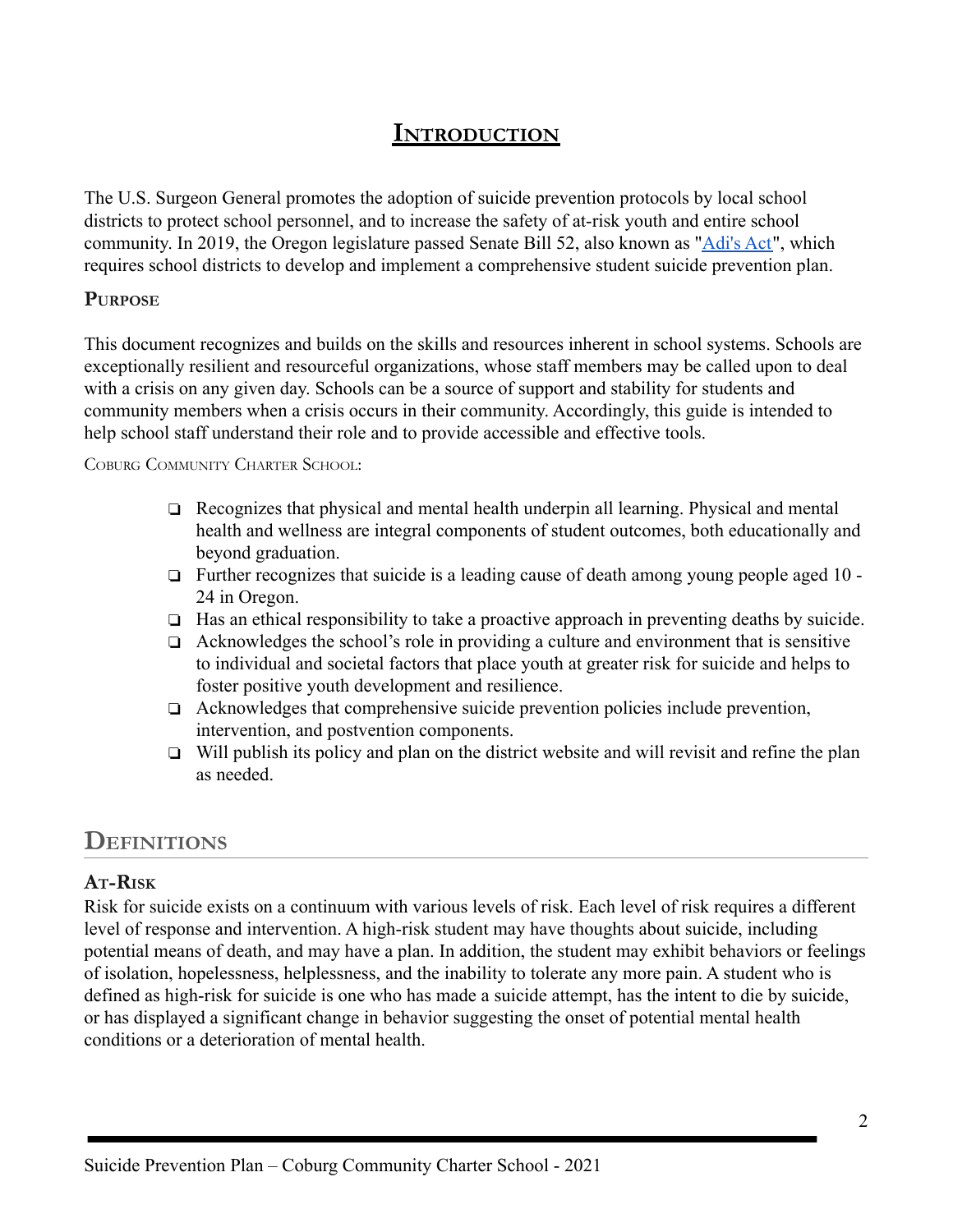# **INTRODUCTION**

<span id="page-2-0"></span>The U.S. Surgeon General promotes the adoption of suicide prevention protocols by local school districts to protect school personnel, and to increase the safety of at-risk youth and entire school community. In 2019, the Oregon legislature passed Senate Bill 52, also known as ["Adi's Act"](https://docs.google.com/document/d/18H3H-GfAab364gX7tlDh0XZQXhwdM2SOLCMLFe6yaF0/edit?usp=sharing), which requires school districts to develop and implement a comprehensive student suicide prevention plan.

#### <span id="page-2-1"></span>**PURPOSE**

This document recognizes and builds on the skills and resources inherent in school systems. Schools are exceptionally resilient and resourceful organizations, whose staff members may be called upon to deal with a crisis on any given day. Schools can be a source of support and stability for students and community members when a crisis occurs in their community. Accordingly, this guide is intended to help school staff understand their role and to provide accessible and effective tools.

COBURG COMMUNITY CHARTER SCHOOL:

- ❏ Recognizes that physical and mental health underpin all learning. Physical and mental health and wellness are integral components of student outcomes, both educationally and beyond graduation.
- ❏ Further recognizes that suicide is a leading cause of death among young people aged 10 24 in Oregon.
- ❏ Has an ethical responsibility to take a proactive approach in preventing deaths by suicide.
- ❏ Acknowledges the school's role in providing a culture and environment that is sensitive to individual and societal factors that place youth at greater risk for suicide and helps to foster positive youth development and resilience.
- ❏ Acknowledges that comprehensive suicide prevention policies include prevention, intervention, and postvention components.
- ❏ Will publish its policy and plan on the district website and will revisit and refine the plan as needed.

# **DEFINITIONS**

# <span id="page-2-2"></span>**AT-RISK**

Risk for suicide exists on a continuum with various levels of risk. Each level of risk requires a different level of response and intervention. A high-risk student may have thoughts about suicide, including potential means of death, and may have a plan. In addition, the student may exhibit behaviors or feelings of isolation, hopelessness, helplessness, and the inability to tolerate any more pain. A student who is defined as high-risk for suicide is one who has made a suicide attempt, has the intent to die by suicide, or has displayed a significant change in behavior suggesting the onset of potential mental health conditions or a deterioration of mental health.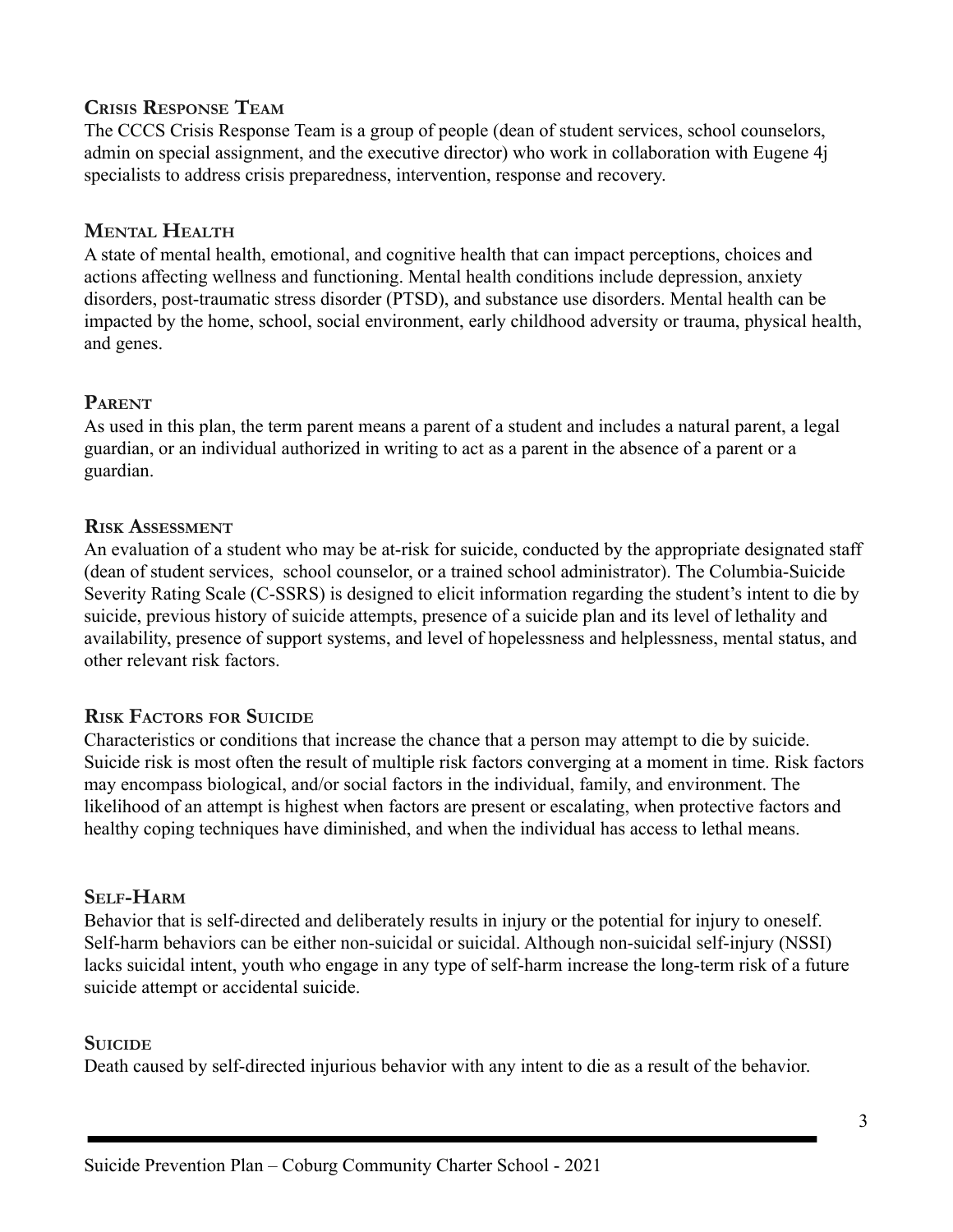#### **CRISIS RESPONSE TEAM**

The CCCS Crisis Response Team is a group of people (dean of student services, school counselors, admin on special assignment, and the executive director) who work in collaboration with Eugene 4j specialists to address crisis preparedness, intervention, response and recovery.

## **MENTAL HEALTH**

A state of mental health, emotional, and cognitive health that can impact perceptions, choices and actions affecting wellness and functioning. Mental health conditions include depression, anxiety disorders, post-traumatic stress disorder (PTSD), and substance use disorders. Mental health can be impacted by the home, school, social environment, early childhood adversity or trauma, physical health, and genes.

# **PARENT**

As used in this plan, the term parent means a parent of a student and includes a natural parent, a legal guardian, or an individual authorized in writing to act as a parent in the absence of a parent or a guardian.

## **RISK ASSESSMENT**

An evaluation of a student who may be at-risk for suicide, conducted by the appropriate designated staff (dean of student services, school counselor, or a trained school administrator). The Columbia-Suicide Severity Rating Scale (C-SSRS) is designed to elicit information regarding the student's intent to die by suicide, previous history of suicide attempts, presence of a suicide plan and its level of lethality and availability, presence of support systems, and level of hopelessness and helplessness, mental status, and other relevant risk factors.

## **RISK FACTORS FOR SUICIDE**

Characteristics or conditions that increase the chance that a person may attempt to die by suicide. Suicide risk is most often the result of multiple risk factors converging at a moment in time. Risk factors may encompass biological, and/or social factors in the individual, family, and environment. The likelihood of an attempt is highest when factors are present or escalating, when protective factors and healthy coping techniques have diminished, and when the individual has access to lethal means.

## **SELF-HARM**

Behavior that is self-directed and deliberately results in injury or the potential for injury to oneself. Self-harm behaviors can be either non-suicidal or suicidal. Although non-suicidal self-injury (NSSI) lacks suicidal intent, youth who engage in any type of self-harm increase the long-term risk of a future suicide attempt or accidental suicide.

## **SUICIDE**

Death caused by self-directed injurious behavior with any intent to die as a result of the behavior.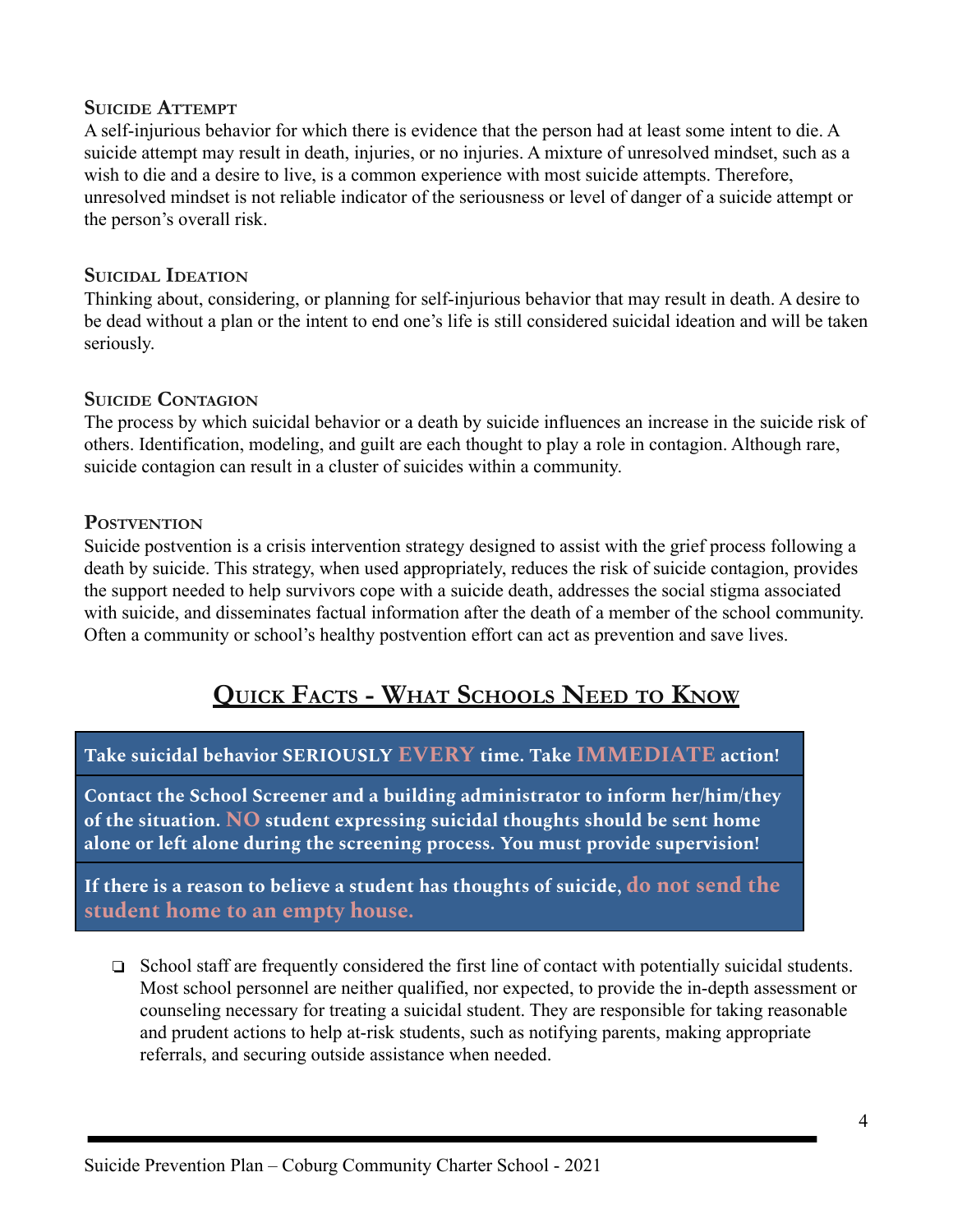#### **SUICIDE ATTEMPT**

A self-injurious behavior for which there is evidence that the person had at least some intent to die. A suicide attempt may result in death, injuries, or no injuries. A mixture of unresolved mindset, such as a wish to die and a desire to live, is a common experience with most suicide attempts. Therefore, unresolved mindset is not reliable indicator of the seriousness or level of danger of a suicide attempt or the person's overall risk.

#### **SUICIDAL IDEATION**

Thinking about, considering, or planning for self-injurious behavior that may result in death. A desire to be dead without a plan or the intent to end one's life is still considered suicidal ideation and will be taken seriously.

#### **SUICIDE CONTAGION**

The process by which suicidal behavior or a death by suicide influences an increase in the suicide risk of others. Identification, modeling, and guilt are each thought to play a role in contagion. Although rare, suicide contagion can result in a cluster of suicides within a community.

#### **POSTVENTION**

Suicide postvention is a crisis intervention strategy designed to assist with the grief process following a death by suicide. This strategy, when used appropriately, reduces the risk of suicide contagion, provides the support needed to help survivors cope with a suicide death, addresses the social stigma associated with suicide, and disseminates factual information after the death of a member of the school community. Often a community or school's healthy postvention effort can act as prevention and save lives.

# **QUICK FACTS - WHAT SCHOOLS NEED TO KNOW**

## <span id="page-4-0"></span>**Take suicidal behavior SERIOUSLY EVERY time. Take IMMEDIATE action!**

**Contact the School Screener and a building administrator to inform her/him/they of the situation. NO student expressing suicidal thoughts should be sent home alone or left alone during the screening process. You must provide supervision!**

**If there is a reason to believe a student has thoughts of suicide, do not send the student home to an empty house.**

❏ School staff are frequently considered the first line of contact with potentially suicidal students. Most school personnel are neither qualified, nor expected, to provide the in-depth assessment or counseling necessary for treating a suicidal student. They are responsible for taking reasonable and prudent actions to help at-risk students, such as notifying parents, making appropriate referrals, and securing outside assistance when needed.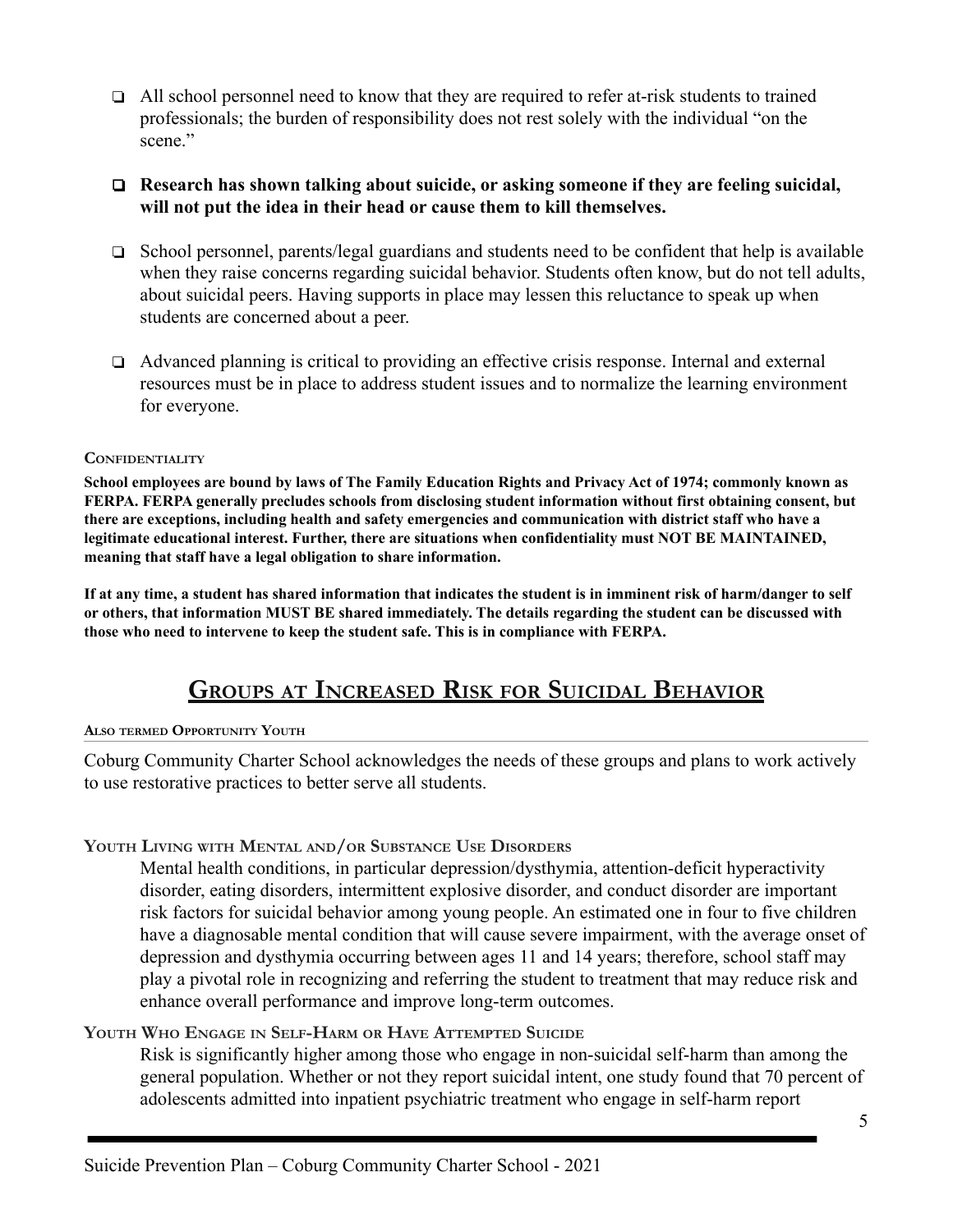❏ All school personnel need to know that they are required to refer at-risk students to trained professionals; the burden of responsibility does not rest solely with the individual "on the scene"

#### ❏ **Research has shown talking about suicide, or asking someone if they are feeling suicidal, will not put the idea in their head or cause them to kill themselves.**

- ❏ School personnel, parents/legal guardians and students need to be confident that help is available when they raise concerns regarding suicidal behavior. Students often know, but do not tell adults, about suicidal peers. Having supports in place may lessen this reluctance to speak up when students are concerned about a peer.
- ❏ Advanced planning is critical to providing an effective crisis response. Internal and external resources must be in place to address student issues and to normalize the learning environment for everyone.

#### <span id="page-5-0"></span>**CONFIDENTIALITY**

School employees are bound by laws of The Family Education Rights and Privacy Act of 1974; commonly known as **FERPA. FERPA generally precludes schools from disclosing student information without first obtaining consent, but there are exceptions, including health and safety emergencies and communication with district staff who have a legitimate educational interest. Further, there are situations when confidentiality must NOT BE MAINTAINED, meaning that staff have a legal obligation to share information.**

<span id="page-5-1"></span>If at any time, a student has shared information that indicates the student is in imminent risk of harm/danger to self or others, that information MUST BE shared immediately. The details regarding the student can be discussed with **those who need to intervene to keep the student safe. This is in compliance with FERPA.**

# **GROUPS AT INCREASED RISK FOR SUICIDAL BEHAVIOR**

#### **ALSO TERMED OPPORTUNITY YOUTH**

Coburg Community Charter School acknowledges the needs of these groups and plans to work actively to use restorative practices to better serve all students.

#### **YOUTH LIVING WITH MENTAL AND/OR SUBSTANCE USE DISORDERS**

Mental health conditions, in particular depression/dysthymia, attention-deficit hyperactivity disorder, eating disorders, intermittent explosive disorder, and conduct disorder are important risk factors for suicidal behavior among young people. An estimated one in four to five children have a diagnosable mental condition that will cause severe impairment, with the average onset of depression and dysthymia occurring between ages 11 and 14 years; therefore, school staff may play a pivotal role in recognizing and referring the student to treatment that may reduce risk and enhance overall performance and improve long-term outcomes.

#### **YOUTH WHO ENGAGE IN SELF-HARM OR HAVE ATTEMPTED SUICIDE**

Risk is significantly higher among those who engage in non-suicidal self-harm than among the general population. Whether or not they report suicidal intent, one study found that 70 percent of adolescents admitted into inpatient psychiatric treatment who engage in self-harm report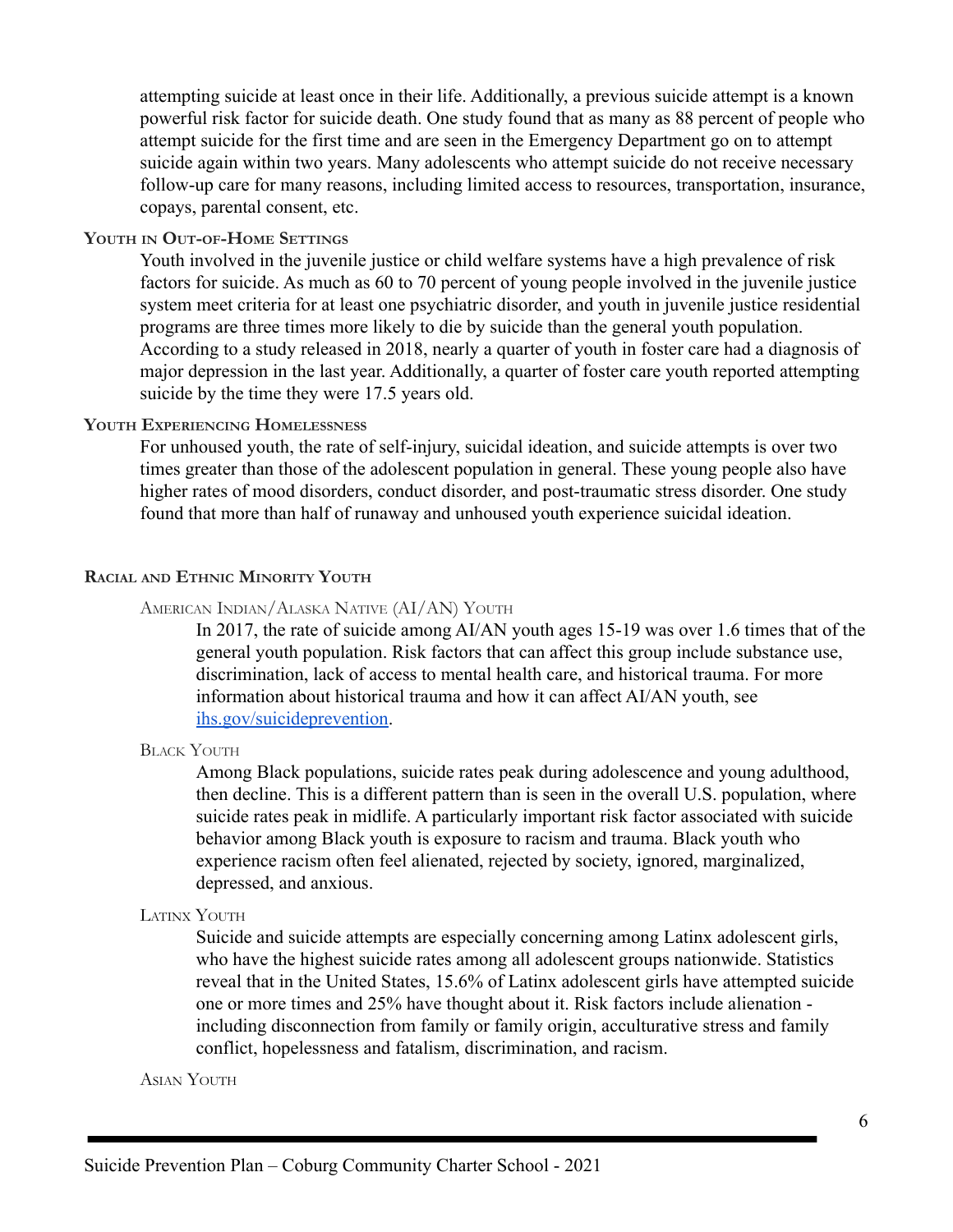attempting suicide at least once in their life. Additionally, a previous suicide attempt is a known powerful risk factor for suicide death. One study found that as many as 88 percent of people who attempt suicide for the first time and are seen in the Emergency Department go on to attempt suicide again within two years. Many adolescents who attempt suicide do not receive necessary follow-up care for many reasons, including limited access to resources, transportation, insurance, copays, parental consent, etc.

#### **YOUTH IN OUT-OF-HOME SETTINGS**

Youth involved in the juvenile justice or child welfare systems have a high prevalence of risk factors for suicide. As much as 60 to 70 percent of young people involved in the juvenile justice system meet criteria for at least one psychiatric disorder, and youth in juvenile justice residential programs are three times more likely to die by suicide than the general youth population. According to a study released in 2018, nearly a quarter of youth in foster care had a diagnosis of major depression in the last year. Additionally, a quarter of foster care youth reported attempting suicide by the time they were 17.5 years old.

#### **YOUTH EXPERIENCING HOMELESSNESS**

For unhoused youth, the rate of self-injury, suicidal ideation, and suicide attempts is over two times greater than those of the adolescent population in general. These young people also have higher rates of mood disorders, conduct disorder, and post-traumatic stress disorder. One study found that more than half of runaway and unhoused youth experience suicidal ideation.

#### **RACIAL AND ETHNIC MINORITY YOUTH**

#### AMERICAN INDIAN/ALASKA NATIVE (AI/AN) YOUTH

In 2017, the rate of suicide among AI/AN youth ages 15-19 was over 1.6 times that of the general youth population. Risk factors that can affect this group include substance use, discrimination, lack of access to mental health care, and historical trauma. For more information about historical trauma and how it can affect AI/AN youth, see [ihs.gov/suicideprevention.](https://www.ihs.gov/suicideprevention/)

#### BLACK YOUTH

Among Black populations, suicide rates peak during adolescence and young adulthood, then decline. This is a different pattern than is seen in the overall U.S. population, where suicide rates peak in midlife. A particularly important risk factor associated with suicide behavior among Black youth is exposure to racism and trauma. Black youth who experience racism often feel alienated, rejected by society, ignored, marginalized, depressed, and anxious.

#### LATINX YOUTH

Suicide and suicide attempts are especially concerning among Latinx adolescent girls, who have the highest suicide rates among all adolescent groups nationwide. Statistics reveal that in the United States, 15.6% of Latinx adolescent girls have attempted suicide one or more times and 25% have thought about it. Risk factors include alienation including disconnection from family or family origin, acculturative stress and family conflict, hopelessness and fatalism, discrimination, and racism.

ASIAN YOUTH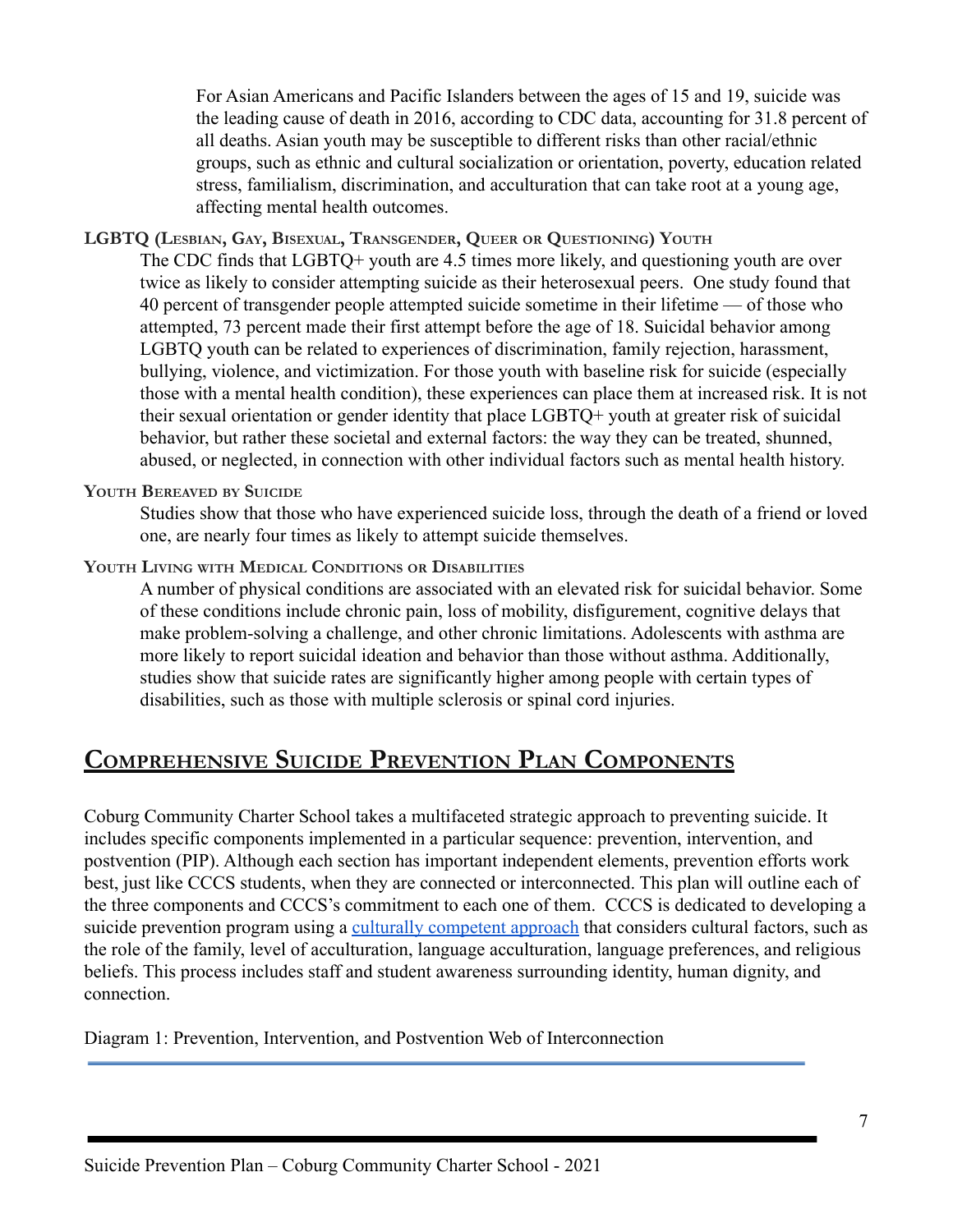For Asian Americans and Pacific Islanders between the ages of 15 and 19, suicide was the leading cause of death in 2016, according to CDC data, accounting for 31.8 percent of all deaths. Asian youth may be susceptible to different risks than other racial/ethnic groups, such as ethnic and cultural socialization or orientation, poverty, education related stress, familialism, discrimination, and acculturation that can take root at a young age, affecting mental health outcomes.

#### **LGBTQ (LESBIAN, GAY, BISEXUAL, TRANSGENDER, QUEER OR QUESTIONING) YOUTH**

The CDC finds that LGBTQ+ youth are 4.5 times more likely, and questioning youth are over twice as likely to consider attempting suicide as their heterosexual peers. One study found that 40 percent of transgender people attempted suicide sometime in their lifetime — of those who attempted, 73 percent made their first attempt before the age of 18. Suicidal behavior among LGBTQ youth can be related to experiences of discrimination, family rejection, harassment, bullying, violence, and victimization. For those youth with baseline risk for suicide (especially those with a mental health condition), these experiences can place them at increased risk. It is not their sexual orientation or gender identity that place LGBTQ+ youth at greater risk of suicidal behavior, but rather these societal and external factors: the way they can be treated, shunned, abused, or neglected, in connection with other individual factors such as mental health history.

#### **YOUTH BEREAVED BY SUICIDE**

Studies show that those who have experienced suicide loss, through the death of a friend or loved one, are nearly four times as likely to attempt suicide themselves.

#### **YOUTH LIVING WITH MEDICAL CONDITIONS OR DISABILITIES**

A number of physical conditions are associated with an elevated risk for suicidal behavior. Some of these conditions include chronic pain, loss of mobility, disfigurement, cognitive delays that make problem-solving a challenge, and other chronic limitations. Adolescents with asthma are more likely to report suicidal ideation and behavior than those without asthma. Additionally, studies show that suicide rates are significantly higher among people with certain types of disabilities, such as those with multiple sclerosis or spinal cord injuries.

# **COMPREHENSIVE SUICIDE PREVENTION PLAN COMPONENTS**

Coburg Community Charter School takes a multifaceted strategic approach to preventing suicide. It includes specific components implemented in a particular sequence: prevention, intervention, and postvention (PIP). Although each section has important independent elements, prevention efforts work best, just like CCCS students, when they are connected or interconnected. This plan will outline each of the three components and CCCS's commitment to each one of them. CCCS is dedicated to developing a suicide prevention program using a [culturally competent](https://www.sprc.org/keys-success/culturally-competent) approach that considers cultural factors, such as the role of the family, level of acculturation, language acculturation, language preferences, and religious beliefs. This process includes staff and student awareness surrounding identity, human dignity, and connection.

Diagram 1: Prevention, Intervention, and Postvention Web of Interconnection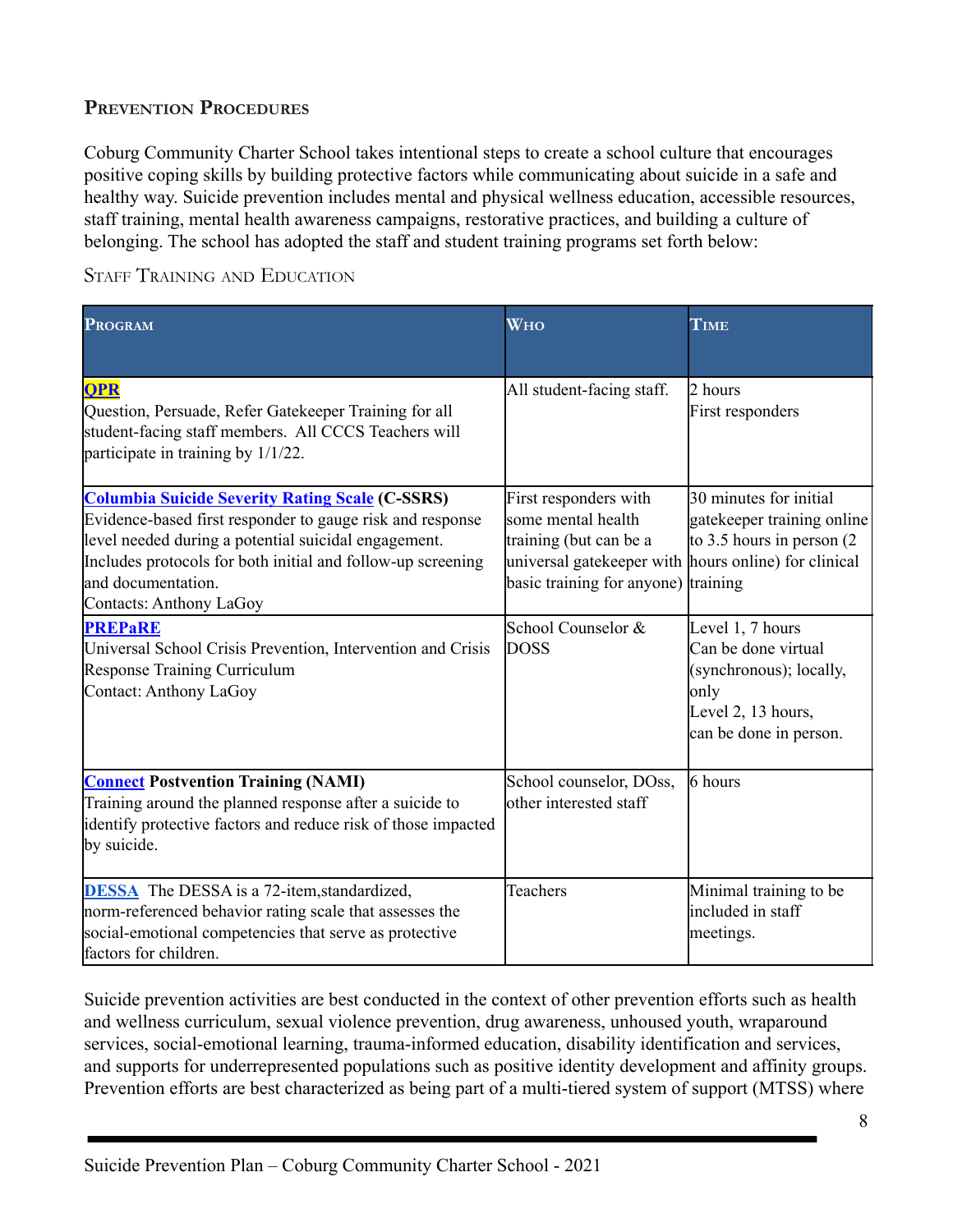# <span id="page-8-0"></span>**PREVENTION PROCEDURES**

Coburg Community Charter School takes intentional steps to create a school culture that encourages positive coping skills by building protective factors while communicating about suicide in a safe and healthy way. Suicide prevention includes mental and physical wellness education, accessible resources, staff training, mental health awareness campaigns, restorative practices, and building a culture of belonging. The school has adopted the staff and student training programs set forth below:

STAFF TRAINING AND EDUCATION

| <b>PROGRAM</b>                                                                                                                                                                                                                                                                              | <b>WHO</b>                                                                                                                                                   | TIME                                                                                                                       |
|---------------------------------------------------------------------------------------------------------------------------------------------------------------------------------------------------------------------------------------------------------------------------------------------|--------------------------------------------------------------------------------------------------------------------------------------------------------------|----------------------------------------------------------------------------------------------------------------------------|
| <b>OPR</b><br>Question, Persuade, Refer Gatekeeper Training for all<br>student-facing staff members. All CCCS Teachers will<br>participate in training by $1/1/22$ .                                                                                                                        | All student-facing staff.                                                                                                                                    | 2 hours<br>First responders                                                                                                |
| <b>Columbia Suicide Severity Rating Scale (C-SSRS)</b><br>Evidence-based first responder to gauge risk and response<br>level needed during a potential suicidal engagement.<br>Includes protocols for both initial and follow-up screening<br>and documentation.<br>Contacts: Anthony LaGoy | First responders with<br>some mental health<br>training (but can be a<br>universal gate keeper with hours online) for clinical<br>basic training for anyone) | 30 minutes for initial<br>gatekeeper training online<br>to 3.5 hours in person $(2)$<br>training                           |
| <b>PREPaRE</b><br>Universal School Crisis Prevention, Intervention and Crisis<br><b>Response Training Curriculum</b><br>Contact: Anthony LaGoy                                                                                                                                              | School Counselor &<br><b>DOSS</b>                                                                                                                            | Level 1, 7 hours<br>Can be done virtual<br>(synchronous); locally,<br>only<br>Level 2, 13 hours,<br>can be done in person. |
| <b>Connect Postvention Training (NAMI)</b><br>Training around the planned response after a suicide to<br>identify protective factors and reduce risk of those impacted<br>by suicide.                                                                                                       | School counselor, DOss,<br>other interested staff                                                                                                            | 6 hours                                                                                                                    |
| <b>DESSA</b> The DESSA is a 72-item, standardized,<br>norm-referenced behavior rating scale that assesses the<br>social-emotional competencies that serve as protective<br>factors for children.                                                                                            | Teachers                                                                                                                                                     | Minimal training to be<br>included in staff<br>meetings.                                                                   |

Suicide prevention activities are best conducted in the context of other prevention efforts such as health and wellness curriculum, sexual violence prevention, drug awareness, unhoused youth, wraparound services, social-emotional learning, trauma-informed education, disability identification and services, and supports for underrepresented populations such as positive identity development and affinity groups. Prevention efforts are best characterized as being part of a multi-tiered system of support (MTSS) where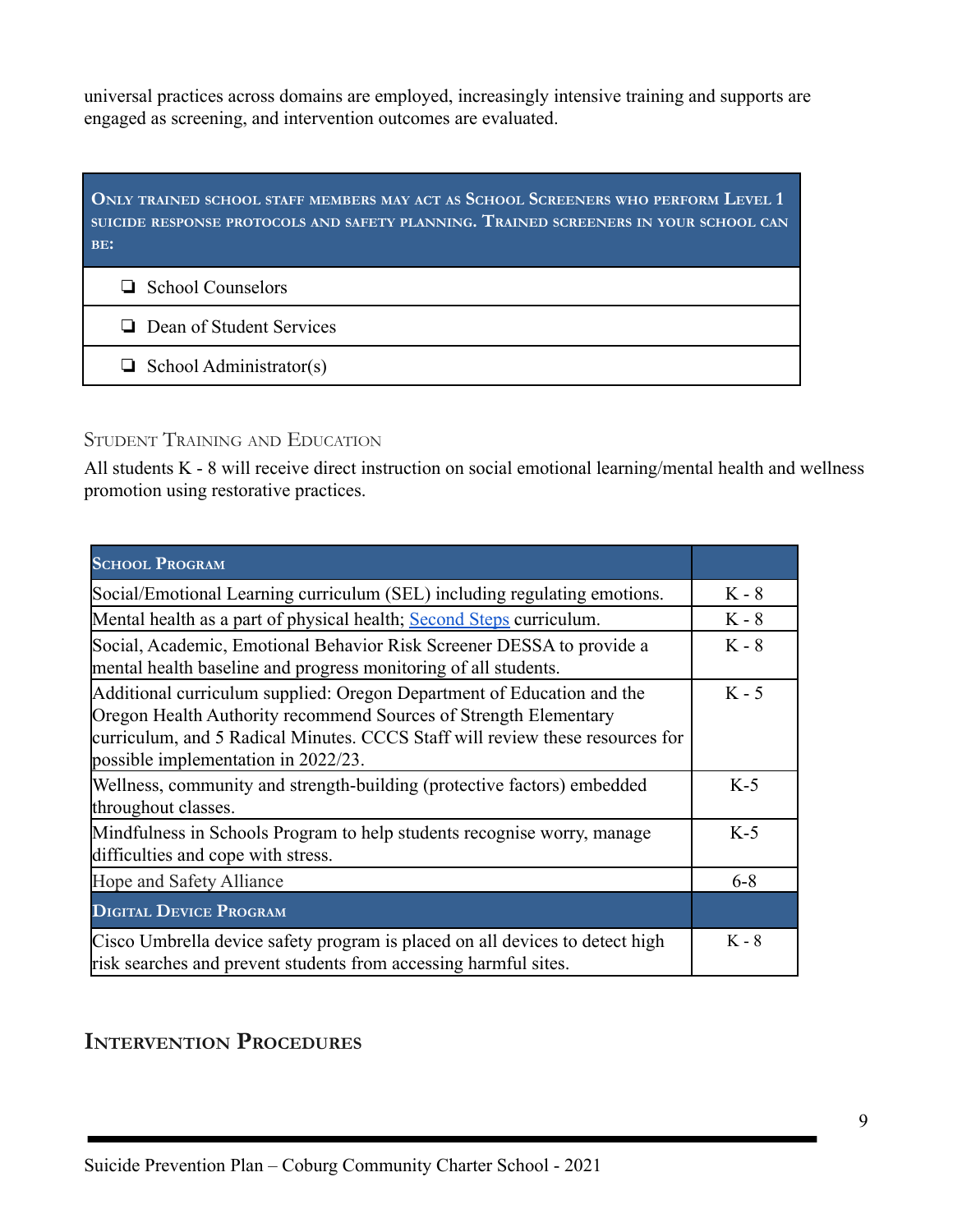universal practices across domains are employed, increasingly intensive training and supports are engaged as screening, and intervention outcomes are evaluated.

| ONLY TRAINED SCHOOL STAFF MEMBERS MAY ACT AS SCHOOL SCREENERS WHO PERFORM LEVEL 1<br>SUICIDE RESPONSE PROTOCOLS AND SAFETY PLANNING. TRAINED SCREENERS IN YOUR SCHOOL CAN<br>BE: |  |  |  |  |  |
|----------------------------------------------------------------------------------------------------------------------------------------------------------------------------------|--|--|--|--|--|
| $\Box$ School Counselors                                                                                                                                                         |  |  |  |  |  |
| $\Box$ Dean of Student Services                                                                                                                                                  |  |  |  |  |  |
| $\Box$ School Administrator(s)                                                                                                                                                   |  |  |  |  |  |

# STUDENT TRAINING AND EDUCATION

All students K - 8 will receive direct instruction on social emotional learning/mental health and wellness promotion using restorative practices.

| <b>SCHOOL PROGRAM</b>                                                                                                                                                                                                                                              |         |
|--------------------------------------------------------------------------------------------------------------------------------------------------------------------------------------------------------------------------------------------------------------------|---------|
| Social/Emotional Learning curriculum (SEL) including regulating emotions.                                                                                                                                                                                          | $K - 8$ |
| Mental health as a part of physical health; Second Steps curriculum.                                                                                                                                                                                               | $K - 8$ |
| Social, Academic, Emotional Behavior Risk Screener DESSA to provide a<br>mental health baseline and progress monitoring of all students.                                                                                                                           | $K - 8$ |
| Additional curriculum supplied: Oregon Department of Education and the<br>Oregon Health Authority recommend Sources of Strength Elementary<br>curriculum, and 5 Radical Minutes. CCCS Staff will review these resources for<br>possible implementation in 2022/23. | $K - 5$ |
| Wellness, community and strength-building (protective factors) embedded<br>throughout classes.                                                                                                                                                                     | $K-5$   |
| Mindfulness in Schools Program to help students recognise worry, manage<br>difficulties and cope with stress.                                                                                                                                                      | $K-5$   |
| Hope and Safety Alliance                                                                                                                                                                                                                                           | $6 - 8$ |
| <b>DIGITAL DEVICE PROGRAM</b>                                                                                                                                                                                                                                      |         |
| Cisco Umbrella device safety program is placed on all devices to detect high<br>risk searches and prevent students from accessing harmful sites.                                                                                                                   | $K - 8$ |

# <span id="page-9-0"></span>**INTERVENTION PROCEDURES**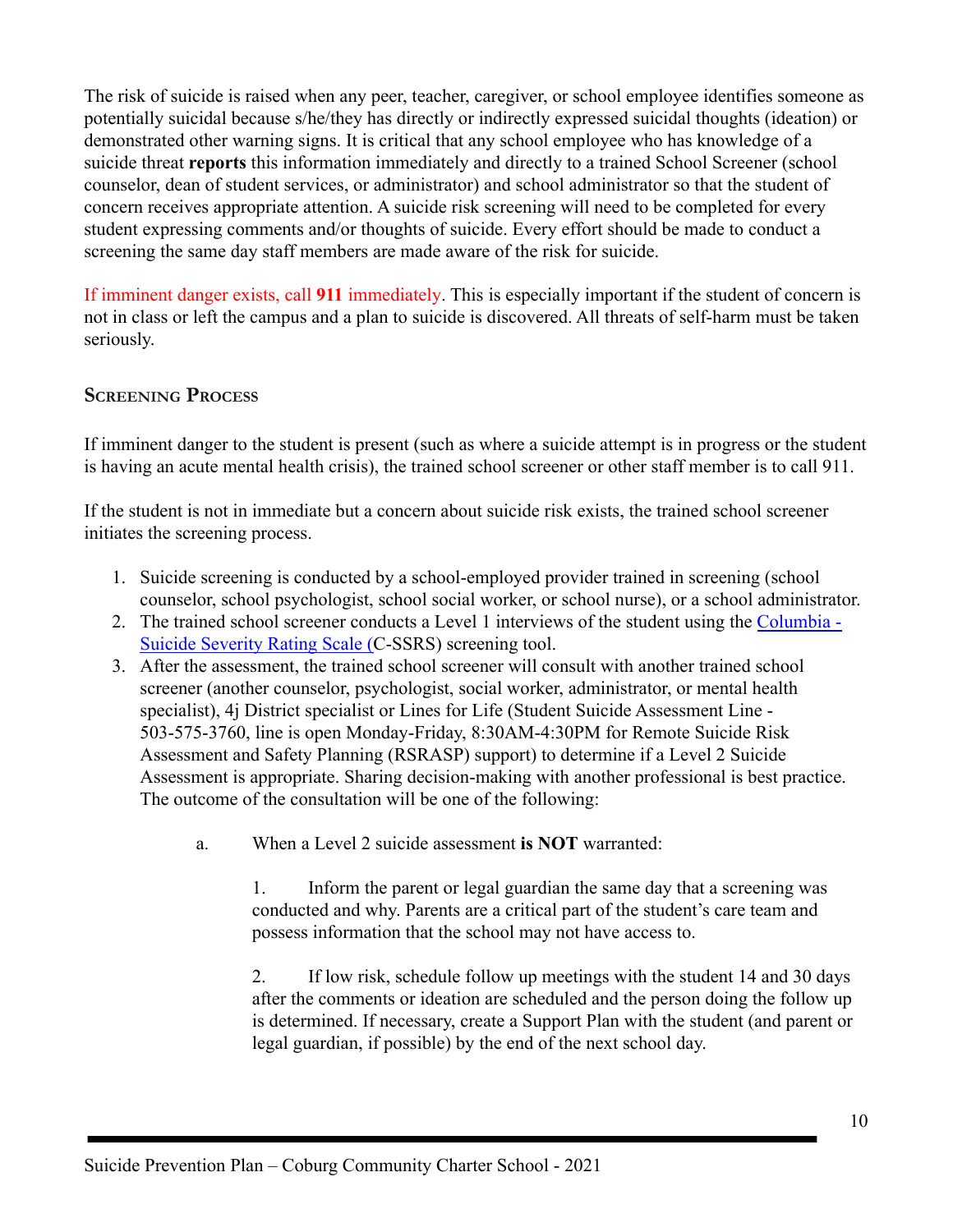The risk of suicide is raised when any peer, teacher, caregiver, or school employee identifies someone as potentially suicidal because s/he/they has directly or indirectly expressed suicidal thoughts (ideation) or demonstrated other warning signs. It is critical that any school employee who has knowledge of a suicide threat **reports** this information immediately and directly to a trained School Screener (school counselor, dean of student services, or administrator) and school administrator so that the student of concern receives appropriate attention. A suicide risk screening will need to be completed for every student expressing comments and/or thoughts of suicide. Every effort should be made to conduct a screening the same day staff members are made aware of the risk for suicide.

If imminent danger exists, call **911** immediately. This is especially important if the student of concern is not in class or left the campus and a plan to suicide is discovered. All threats of self-harm must be taken seriously.

# <span id="page-10-0"></span>**SCREENING PROCESS**

If imminent danger to the student is present (such as where a suicide attempt is in progress or the student is having an acute mental health crisis), the trained school screener or other staff member is to call 911.

If the student is not in immediate but a concern about suicide risk exists, the trained school screener initiates the screening process.

- 1. Suicide screening is conducted by a school-employed provider trained in screening (school counselor, school psychologist, school social worker, or school nurse), or a school administrator.
- 2. The trained school screener conducts a Level 1 interviews of the student using the [Columbia -](https://drive.google.com/file/d/1hPOpzTPto13UcFju5F37FFkV1v3jBGV5/view?usp=sharing) [Suicide Severity Rating Scale \(C](https://drive.google.com/file/d/1hPOpzTPto13UcFju5F37FFkV1v3jBGV5/view?usp=sharing)-SSRS) screening tool.
- 3. After the assessment, the trained school screener will consult with another trained school screener (another counselor, psychologist, social worker, administrator, or mental health specialist), 4j District specialist or Lines for Life (Student Suicide Assessment Line - 503-575-3760, line is open Monday-Friday, 8:30AM-4:30PM for Remote Suicide Risk Assessment and Safety Planning (RSRASP) support) to determine if a Level 2 Suicide Assessment is appropriate. Sharing decision-making with another professional is best practice. The outcome of the consultation will be one of the following:
	- a. When a Level 2 suicide assessment **is NOT** warranted:

1. Inform the parent or legal guardian the same day that a screening was conducted and why. Parents are a critical part of the student's care team and possess information that the school may not have access to.

2. If low risk, schedule follow up meetings with the student 14 and 30 days after the comments or ideation are scheduled and the person doing the follow up is determined. If necessary, create a Support Plan with the student (and parent or legal guardian, if possible) by the end of the next school day.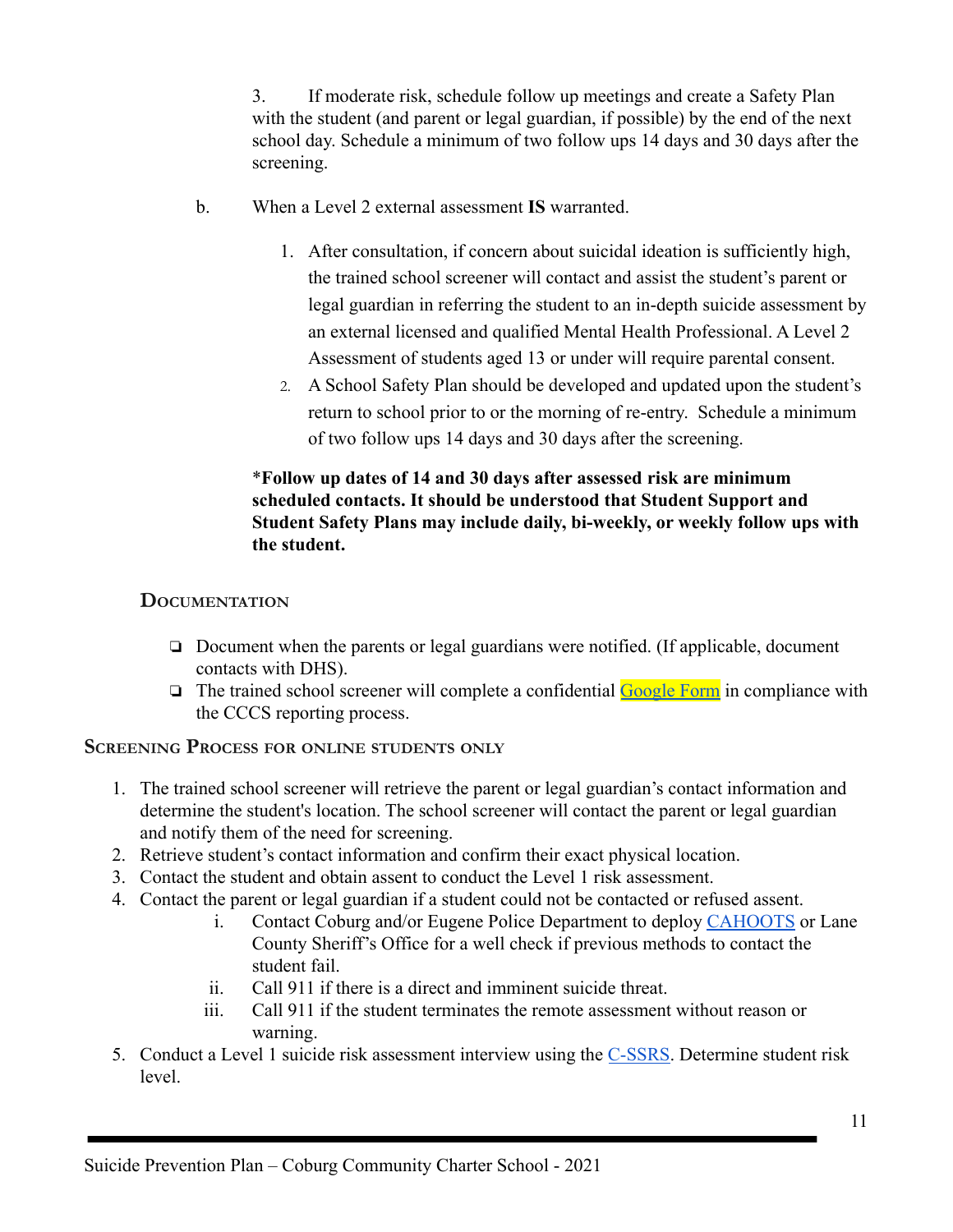3. If moderate risk, schedule follow up meetings and create a Safety Plan with the student (and parent or legal guardian, if possible) by the end of the next school day. Schedule a minimum of two follow ups 14 days and 30 days after the screening.

- b. When a Level 2 external assessment **IS** warranted.
	- 1. After consultation, if concern about suicidal ideation is sufficiently high, the trained school screener will contact and assist the student's parent or legal guardian in referring the student to an in-depth suicide assessment by an external licensed and qualified Mental Health Professional. A Level 2 Assessment of students aged 13 or under will require parental consent.
	- 2. A School Safety Plan should be developed and updated upon the student's return to school prior to or the morning of re-entry. Schedule a minimum of two follow ups 14 days and 30 days after the screening.

## \***Follow up dates of 14 and 30 days after assessed risk are minimum scheduled contacts. It should be understood that Student Support and Student Safety Plans may include daily, bi-weekly, or weekly follow ups with the student.**

## <span id="page-11-0"></span>**DOCUMENTATION**

- ❏ Document when the parents or legal guardians were notified. (If applicable, document contacts with DHS).
- ❏ The trained school screener will complete a confidential [Google Form](https://docs.google.com/document/d/1qqx4DYWm9kAOATDpvnafuJ6yzXoLHJbRU0GKwGBz2_g/edit?usp=sharing) in compliance with the CCCS reporting process.

#### <span id="page-11-1"></span>**SCREENING PROCESS FOR ONLINE STUDENTS ONLY**

- 1. The trained school screener will retrieve the parent or legal guardian's contact information and determine the student's location. The school screener will contact the parent or legal guardian and notify them of the need for screening.
- 2. Retrieve student's contact information and confirm their exact physical location.
- 3. Contact the student and obtain assent to conduct the Level 1 risk assessment.
- 4. Contact the parent or legal guardian if a student could not be contacted or refused assent.
	- i. Contact Coburg and/or Eugene Police Department to deploy [CAHOOTS](https://whitebirdclinic.org/cahoots/) or Lane County Sheriff's Office for a well check if previous methods to contact the student fail.
	- ii. Call 911 if there is a direct and imminent suicide threat.
	- iii. Call 911 if the student terminates the remote assessment without reason or warning.
- 5. Conduct a Level 1 suicide risk assessment interview using the [C-SSRS.](https://docs.google.com/document/d/1MTMx5PbncRTTYiPyecjOsnIjoLUWJLJ1/edit?usp=sharing&ouid=108819751735783313523&rtpof=true&sd=true) Determine student risk level.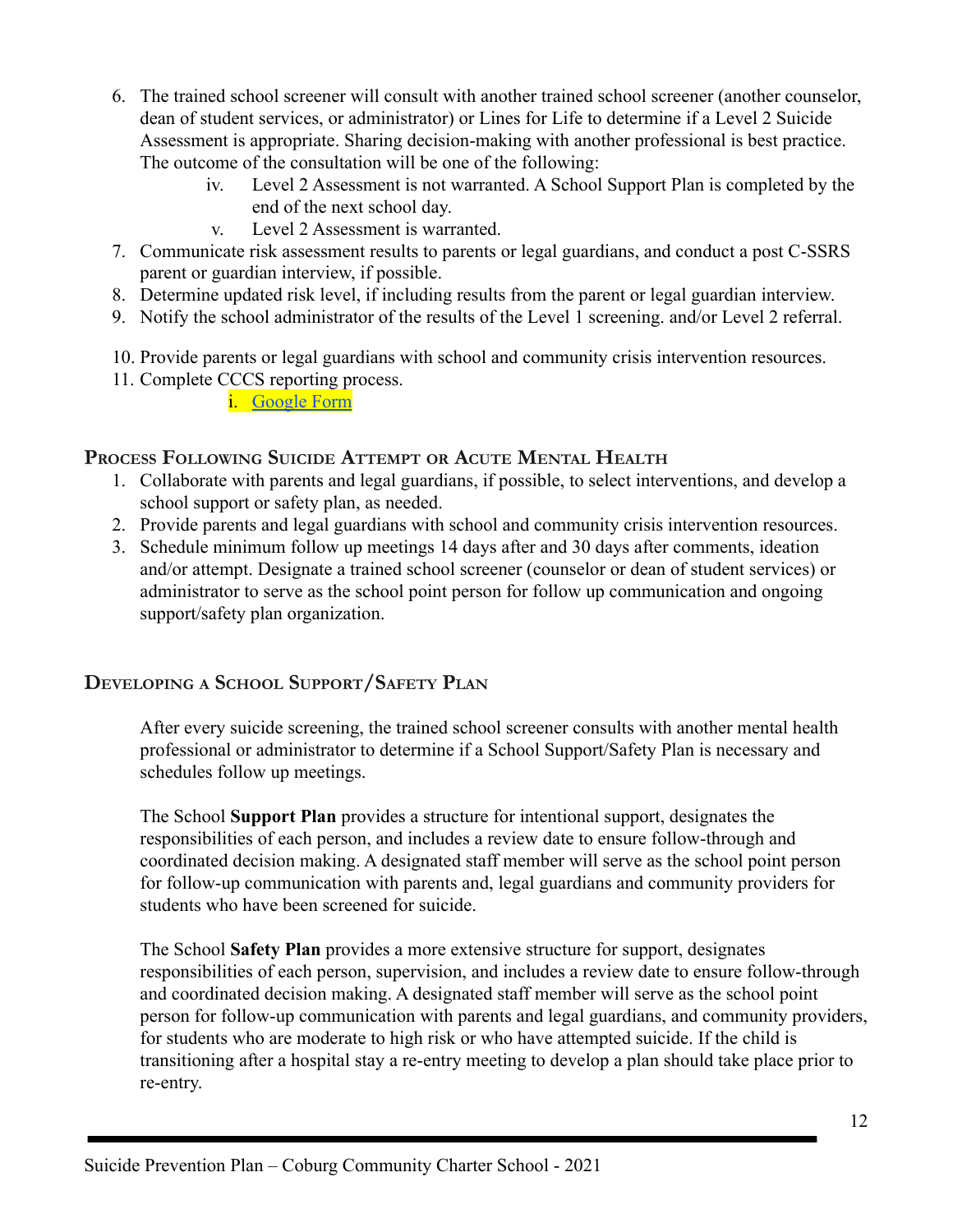- 6. The trained school screener will consult with another trained school screener (another counselor, dean of student services, or administrator) or Lines for Life to determine if a Level 2 Suicide Assessment is appropriate. Sharing decision-making with another professional is best practice. The outcome of the consultation will be one of the following:
	- iv. Level 2 Assessment is not warranted. A School Support Plan is completed by the end of the next school day.
	- v. Level 2 Assessment is warranted.
- 7. Communicate risk assessment results to parents or legal guardians, and conduct a post C-SSRS parent or guardian interview, if possible.
- 8. Determine updated risk level, if including results from the parent or legal guardian interview.
- 9. Notify the school administrator of the results of the Level 1 screening. and/or Level 2 referral.
- 10. Provide parents or legal guardians with school and community crisis intervention resources.
- 11. Complete CCCS reporting process.
	- i. [Google Form](https://docs.google.com/document/d/1qqx4DYWm9kAOATDpvnafuJ6yzXoLHJbRU0GKwGBz2_g/edit?usp=sharing)

## <span id="page-12-0"></span>**PROCESS FOLLOWING SUICIDE ATTEMPT OR ACUTE MENTAL HEALTH**

- 1. Collaborate with parents and legal guardians, if possible, to select interventions, and develop a school support or safety plan, as needed.
- 2. Provide parents and legal guardians with school and community crisis intervention resources.
- 3. Schedule minimum follow up meetings 14 days after and 30 days after comments, ideation and/or attempt. Designate a trained school screener (counselor or dean of student services) or administrator to serve as the school point person for follow up communication and ongoing support/safety plan organization.

# <span id="page-12-1"></span>**DEVELOPING <sup>A</sup> SCHOOL SUPPORT/SAFETY PLAN**

After every suicide screening, the trained school screener consults with another mental health professional or administrator to determine if a School Support/Safety Plan is necessary and schedules follow up meetings.

The School **Support Plan** provides a structure for intentional support, designates the responsibilities of each person, and includes a review date to ensure follow-through and coordinated decision making. A designated staff member will serve as the school point person for follow-up communication with parents and, legal guardians and community providers for students who have been screened for suicide.

The School **Safety Plan** provides a more extensive structure for support, designates responsibilities of each person, supervision, and includes a review date to ensure follow-through and coordinated decision making. A designated staff member will serve as the school point person for follow-up communication with parents and legal guardians, and community providers, for students who are moderate to high risk or who have attempted suicide. If the child is transitioning after a hospital stay a re-entry meeting to develop a plan should take place prior to re-entry.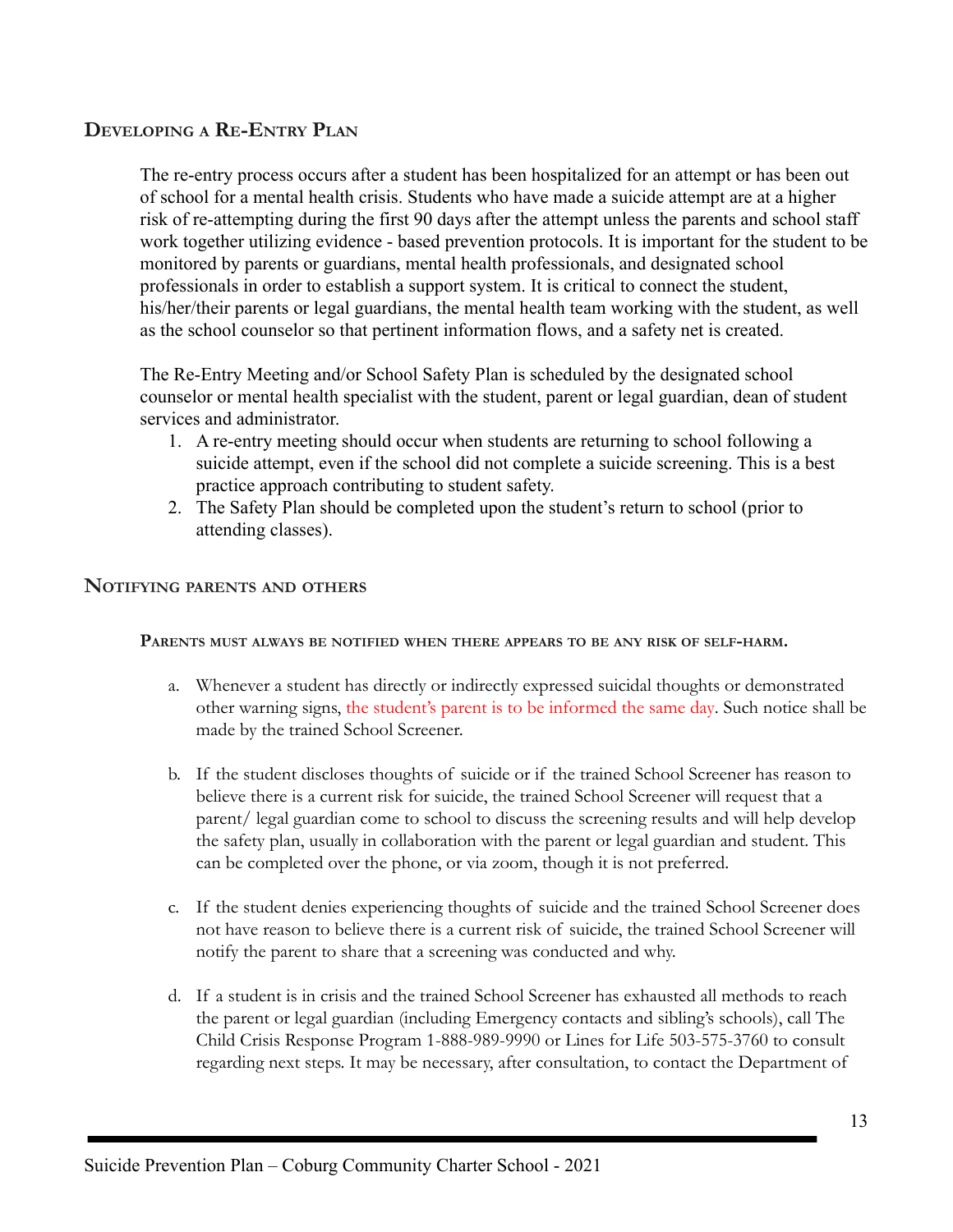## <span id="page-13-0"></span>**DEVELOPING A RE-ENTRY PLAN**

The re-entry process occurs after a student has been hospitalized for an attempt or has been out of school for a mental health crisis. Students who have made a suicide attempt are at a higher risk of re-attempting during the first 90 days after the attempt unless the parents and school staff work together utilizing evidence - based prevention protocols. It is important for the student to be monitored by parents or guardians, mental health professionals, and designated school professionals in order to establish a support system. It is critical to connect the student, his/her/their parents or legal guardians, the mental health team working with the student, as well as the school counselor so that pertinent information flows, and a safety net is created.

The Re-Entry Meeting and/or School Safety Plan is scheduled by the designated school counselor or mental health specialist with the student, parent or legal guardian, dean of student services and administrator.

- 1. A re-entry meeting should occur when students are returning to school following a suicide attempt, even if the school did not complete a suicide screening. This is a best practice approach contributing to student safety.
- 2. The Safety Plan should be completed upon the student's return to school (prior to attending classes).

#### <span id="page-13-1"></span>**NOTIFYING PARENTS AND OTHERS**

#### **PARENTS MUST ALWAYS BE NOTIFIED WHEN THERE APPEARS TO BE ANY RISK OF SELF-HARM.**

- a. Whenever a student has directly or indirectly expressed suicidal thoughts or demonstrated other warning signs, the student's parent is to be informed the same day. Such notice shall be made by the trained School Screener.
- b. If the student discloses thoughts of suicide or if the trained School Screener has reason to believe there is a current risk for suicide, the trained School Screener will request that a parent/ legal guardian come to school to discuss the screening results and will help develop the safety plan, usually in collaboration with the parent or legal guardian and student. This can be completed over the phone, or via zoom, though it is not preferred.
- c. If the student denies experiencing thoughts of suicide and the trained School Screener does not have reason to believe there is a current risk of suicide, the trained School Screener will notify the parent to share that a screening was conducted and why.
- d. If a student is in crisis and the trained School Screener has exhausted all methods to reach the parent or legal guardian (including Emergency contacts and sibling's schools), call The Child Crisis Response Program 1-888-989-9990 or Lines for Life 503-575-3760 to consult regarding next steps. It may be necessary, after consultation, to contact the Department of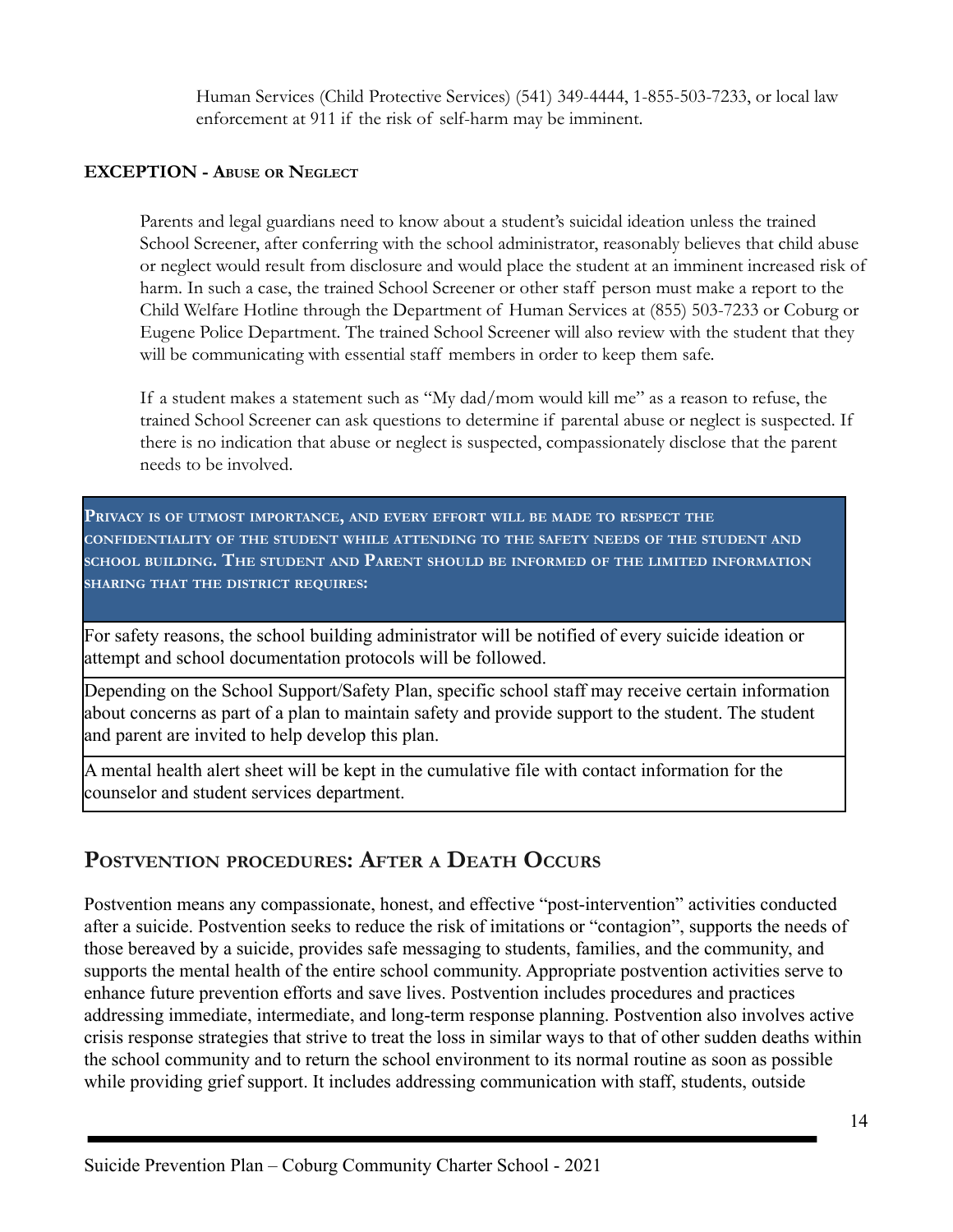Human Services (Child Protective Services) (541) 349-4444, 1-855-503-7233, or local law enforcement at 911 if the risk of self-harm may be imminent.

#### **EXCEPTION - ABUSE OR NEGLECT**

Parents and legal guardians need to know about a student's suicidal ideation unless the trained School Screener, after conferring with the school administrator, reasonably believes that child abuse or neglect would result from disclosure and would place the student at an imminent increased risk of harm. In such a case, the trained School Screener or other staff person must make a report to the Child Welfare Hotline through the Department of Human Services at (855) 503-7233 or Coburg or Eugene Police Department. The trained School Screener will also review with the student that they will be communicating with essential staff members in order to keep them safe.

If a student makes a statement such as "My dad/mom would kill me" as a reason to refuse, the trained School Screener can ask questions to determine if parental abuse or neglect is suspected. If there is no indication that abuse or neglect is suspected, compassionately disclose that the parent needs to be involved.

**PRIVACY IS OF UTMOST IMPORTANCE, AND EVERY EFFORT WILL BE MADE TO RESPECT THE CONFIDENTIALITY OF THE STUDENT WHILE ATTENDING TO THE SAFETY NEEDS OF THE STUDENT AND SCHOOL BUILDING. THE STUDENT AND PARENT SHOULD BE INFORMED OF THE LIMITED INFORMATION SHARING THAT THE DISTRICT REQUIRES:** 

For safety reasons, the school building administrator will be notified of every suicide ideation or attempt and school documentation protocols will be followed.

Depending on the School Support/Safety Plan, specific school staff may receive certain information about concerns as part of a plan to maintain safety and provide support to the student. The student and parent are invited to help develop this plan.

A mental health alert sheet will be kept in the cumulative file with contact information for the counselor and student services department.

# <span id="page-14-0"></span>**POSTVENTION PROCEDURES: AFTER <sup>A</sup> DEATH OCCURS**

Postvention means any compassionate, honest, and effective "post-intervention" activities conducted after a suicide. Postvention seeks to reduce the risk of imitations or "contagion", supports the needs of those bereaved by a suicide, provides safe messaging to students, families, and the community, and supports the mental health of the entire school community. Appropriate postvention activities serve to enhance future prevention efforts and save lives. Postvention includes procedures and practices addressing immediate, intermediate, and long-term response planning. Postvention also involves active crisis response strategies that strive to treat the loss in similar ways to that of other sudden deaths within the school community and to return the school environment to its normal routine as soon as possible while providing grief support. It includes addressing communication with staff, students, outside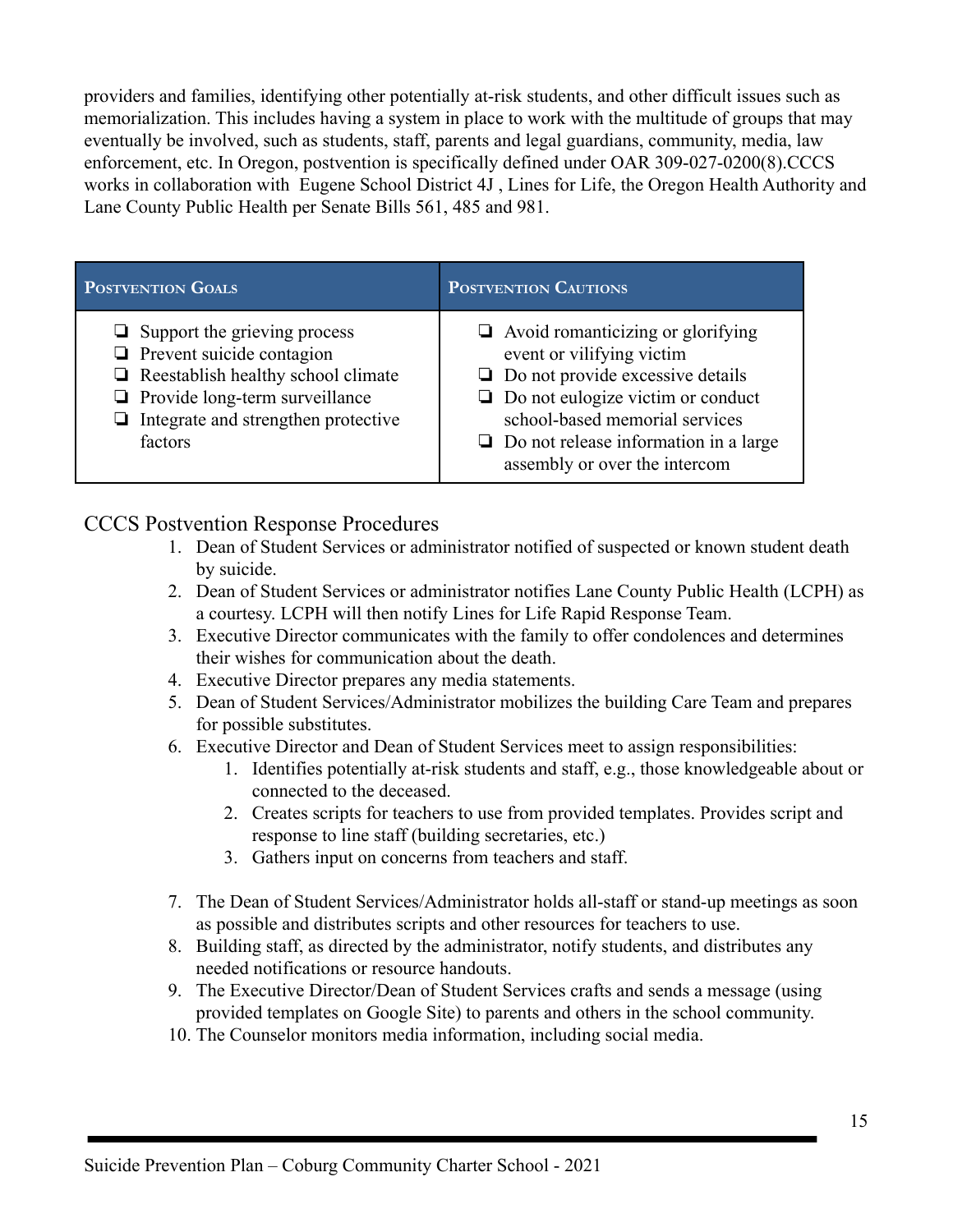providers and families, identifying other potentially at-risk students, and other difficult issues such as memorialization. This includes having a system in place to work with the multitude of groups that may eventually be involved, such as students, staff, parents and legal guardians, community, media, law enforcement, etc. In Oregon, postvention is specifically defined under OAR 309-027-0200(8).CCCS works in collaboration with Eugene School District 4J , Lines for Life, the Oregon Health Authority and Lane County Public Health per Senate Bills 561, 485 and 981.

| POSTVENTION GOALS                                                                                                                                                                                                      | <b>POSTVENTION CAUTIONS</b>                                                                                                                                                                                                                                                     |
|------------------------------------------------------------------------------------------------------------------------------------------------------------------------------------------------------------------------|---------------------------------------------------------------------------------------------------------------------------------------------------------------------------------------------------------------------------------------------------------------------------------|
| $\Box$ Support the grieving process<br>$\Box$ Prevent suicide contagion<br>$\Box$ Reestablish healthy school climate<br>$\Box$ Provide long-term surveillance<br>$\Box$ Integrate and strengthen protective<br>factors | $\Box$ Avoid romanticizing or glorifying<br>event or vilifying victim<br>$\Box$ Do not provide excessive details<br>$\Box$ Do not eulogize victim or conduct<br>school-based memorial services<br>$\Box$ Do not release information in a large<br>assembly or over the intercom |

# CCCS Postvention Response Procedures

- 1. Dean of Student Services or administrator notified of suspected or known student death by suicide.
- 2. Dean of Student Services or administrator notifies Lane County Public Health (LCPH) as a courtesy. LCPH will then notify Lines for Life Rapid Response Team.
- 3. Executive Director communicates with the family to offer condolences and determines their wishes for communication about the death.
- 4. Executive Director prepares any media statements.
- 5. Dean of Student Services/Administrator mobilizes the building Care Team and prepares for possible substitutes.
- 6. Executive Director and Dean of Student Services meet to assign responsibilities:
	- 1. Identifies potentially at-risk students and staff, e.g., those knowledgeable about or connected to the deceased.
	- 2. Creates scripts for teachers to use from provided templates. Provides script and response to line staff (building secretaries, etc.)
	- 3. Gathers input on concerns from teachers and staff.
- 7. The Dean of Student Services/Administrator holds all-staff or stand-up meetings as soon as possible and distributes scripts and other resources for teachers to use.
- 8. Building staff, as directed by the administrator, notify students, and distributes any needed notifications or resource handouts.
- 9. The Executive Director/Dean of Student Services crafts and sends a message (using provided templates on Google Site) to parents and others in the school community.
- 10. The Counselor monitors media information, including social media.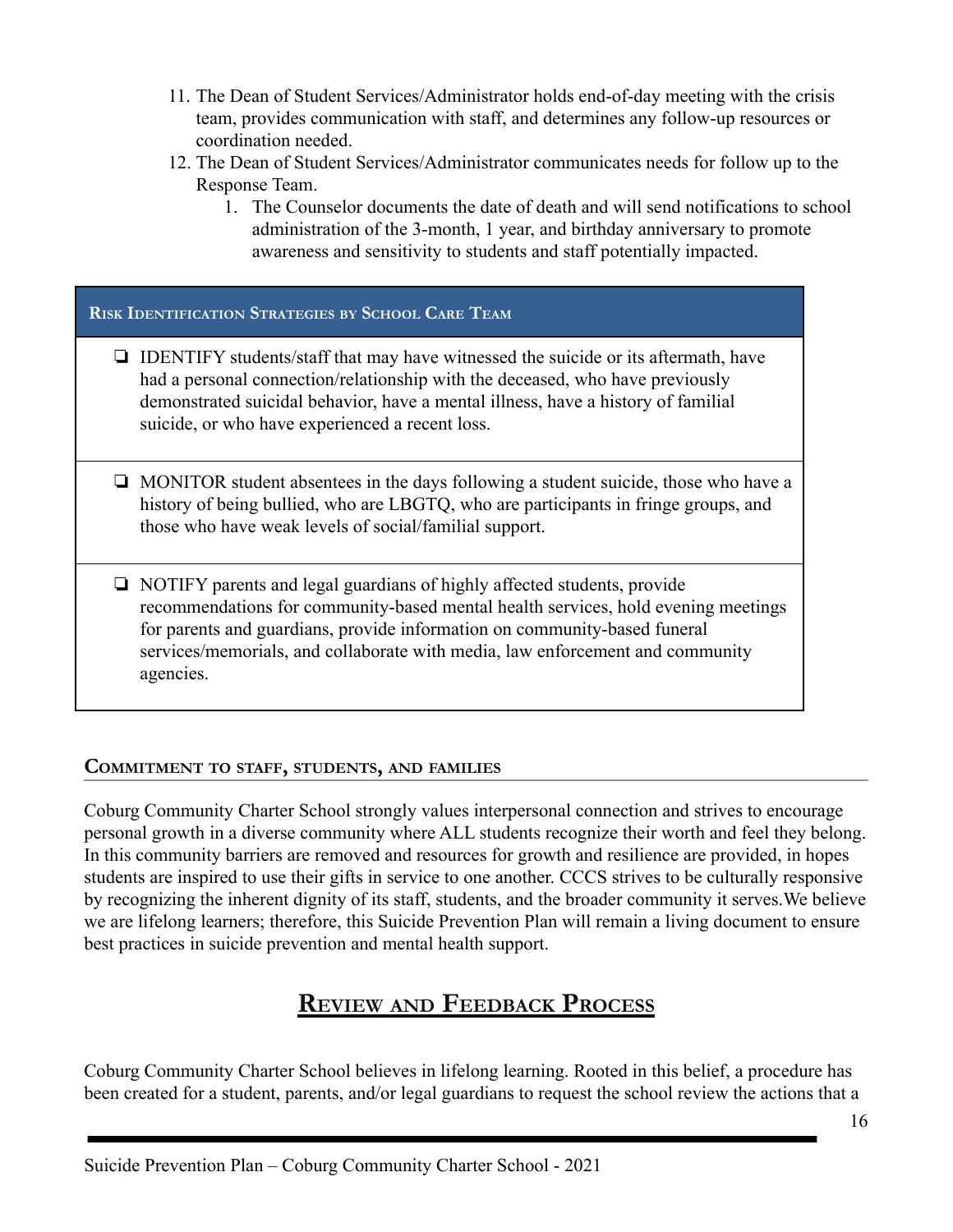- 11. The Dean of Student Services/Administrator holds end-of-day meeting with the crisis team, provides communication with staff, and determines any follow-up resources or coordination needed.
- 12. The Dean of Student Services/Administrator communicates needs for follow up to the Response Team.
	- 1. The Counselor documents the date of death and will send notifications to school administration of the 3-month, 1 year, and birthday anniversary to promote awareness and sensitivity to students and staff potentially impacted.

#### **RISK IDENTIFICATION STRATEGIES BY SCHOOL CARE TEAM**

- ❏ IDENTIFY students/staff that may have witnessed the suicide or its aftermath, have had a personal connection/relationship with the deceased, who have previously demonstrated suicidal behavior, have a mental illness, have a history of familial suicide, or who have experienced a recent loss.
- ❏ MONITOR student absentees in the days following a student suicide, those who have a history of being bullied, who are LBGTQ, who are participants in fringe groups, and those who have weak levels of social/familial support.
- ❏ NOTIFY parents and legal guardians of highly affected students, provide recommendations for community-based mental health services, hold evening meetings for parents and guardians, provide information on community-based funeral services/memorials, and collaborate with media, law enforcement and community agencies.

#### **COMMITMENT TO STAFF, STUDENTS, AND FAMILIES**

Coburg Community Charter School strongly values interpersonal connection and strives to encourage personal growth in a diverse community where ALL students recognize their worth and feel they belong. In this community barriers are removed and resources for growth and resilience are provided, in hopes students are inspired to use their gifts in service to one another. CCCS strives to be culturally responsive by recognizing the inherent dignity of its staff, students, and the broader community it serves.We believe we are lifelong learners; therefore, this Suicide Prevention Plan will remain a living document to ensure best practices in suicide prevention and mental health support.

# **REVIEW AND FEEDBACK PROCESS**

<span id="page-16-0"></span>Coburg Community Charter School believes in lifelong learning. Rooted in this belief, a procedure has been created for a student, parents, and/or legal guardians to request the school review the actions that a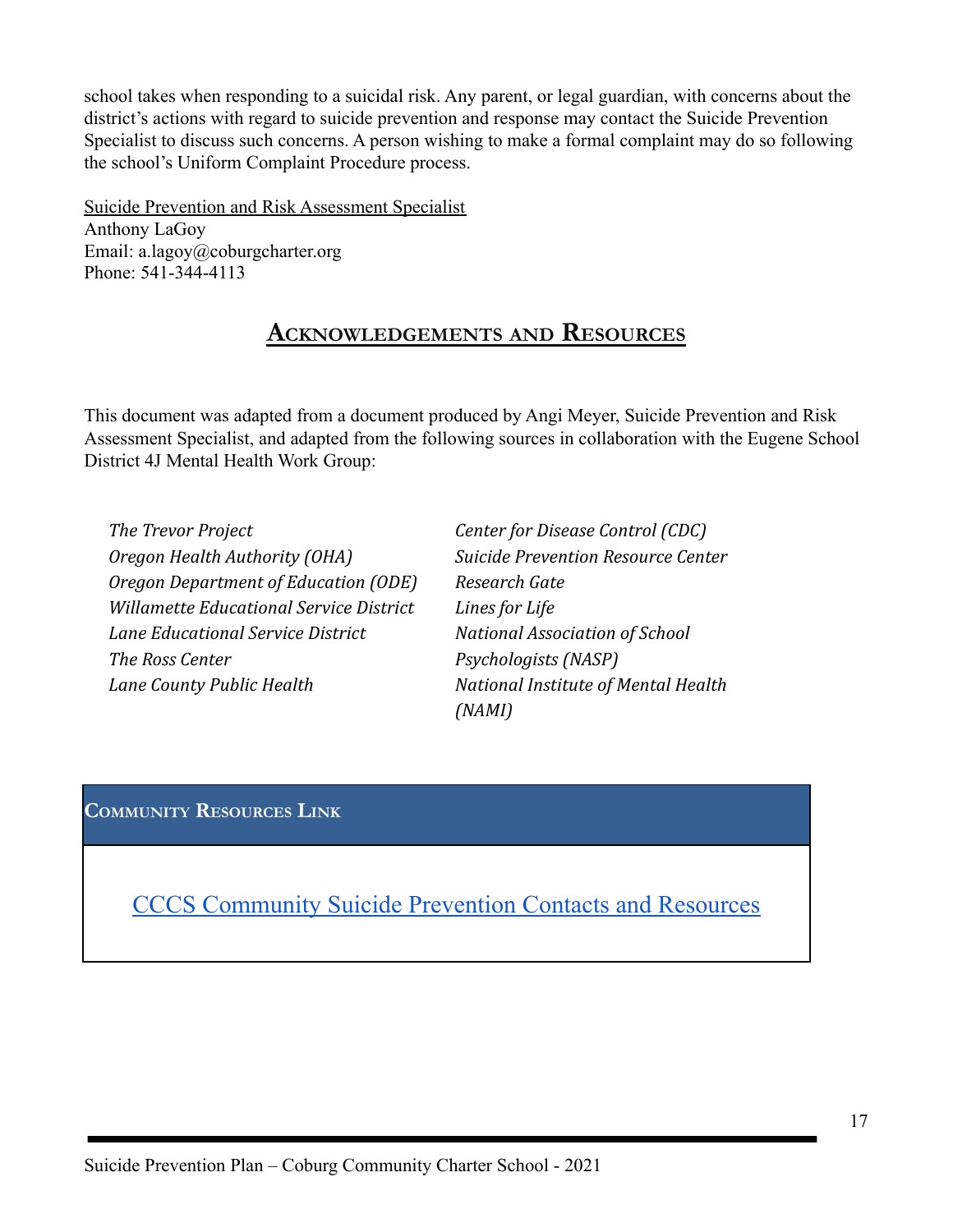school takes when responding to a suicidal risk. Any parent, or legal guardian, with concerns about the district's actions with regard to suicide prevention and response may contact the Suicide Prevention Specialist to discuss such concerns. A person wishing to make a formal complaint may do so following the school's Uniform Complaint Procedure process.

<span id="page-17-0"></span>Suicide Prevention and Risk Assessment Specialist Anthony LaGoy Email: a.lagoy@coburgcharter.org Phone: 541-344-4113

# **ACKNOWLEDGEMENTS AND RESOURCES**

This document was adapted from a document produced by Angi Meyer, Suicide Prevention and Risk Assessment Specialist, and adapted from the following sources in collaboration with the Eugene School District 4J Mental Health Work Group:

*The Trevor Project Oregon Health Authority (OHA) Oregon Department of Education (ODE) Willamette Educational Service District Lane Educational Service District The Ross Center Lane County Public Health*

*Center for Disease Control (CDC) Suicide Prevention Resource Center Research Gate Lines for Life National Association of School Psychologists (NASP) National Institute of Mental Health (NAMI)*

## <span id="page-17-1"></span>**COMMUNITY RESOURCES LINK**

CCCS [Community](https://docs.google.com/document/d/1oX4rZFrILDfiau_P0oXa1faI-cdvxeZz_GkQ8FRJUWs/edit?usp=sharing) Suicide Prevention Contacts and Resources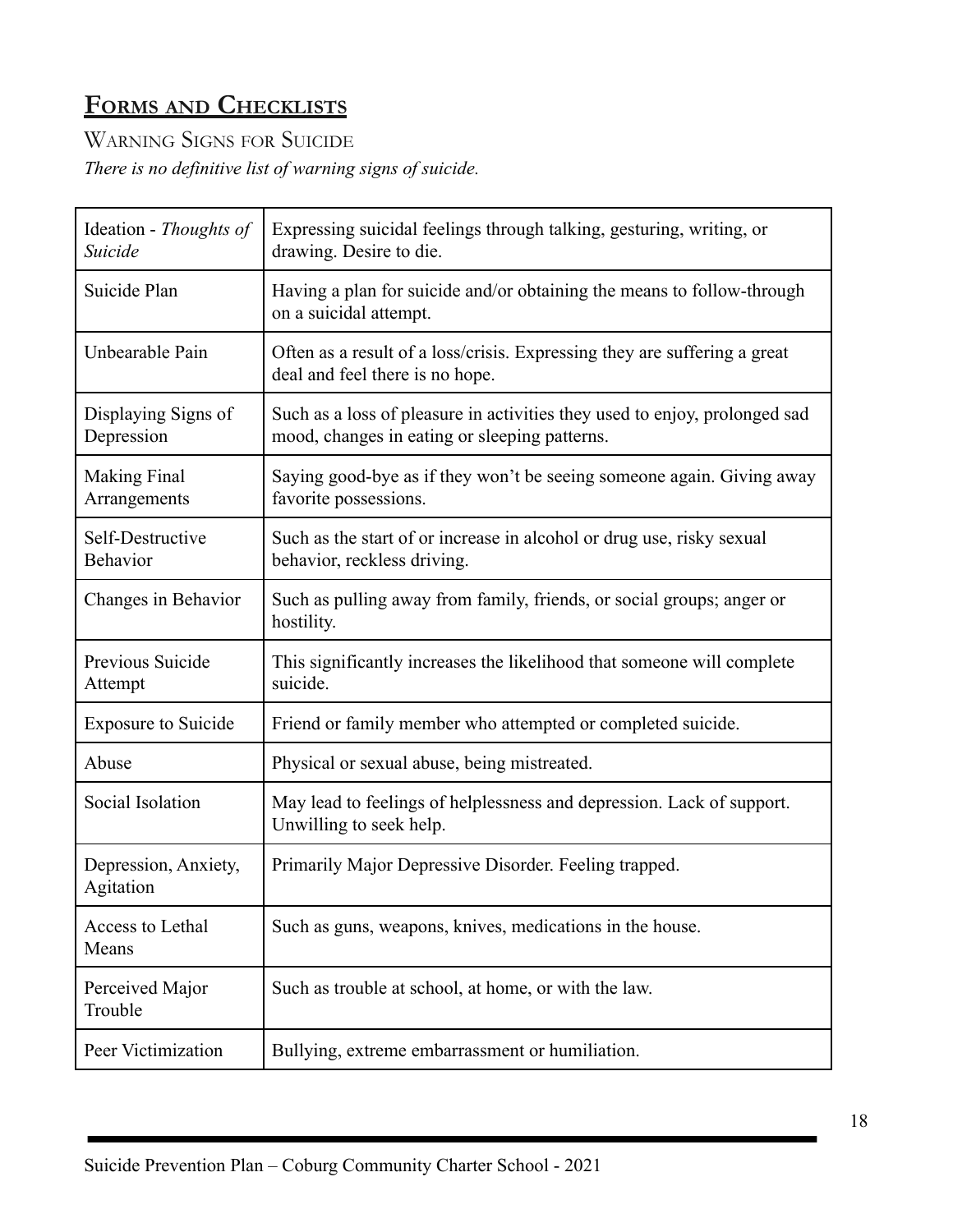# **FORMS AND CHECKLISTS**

WARNING SIGNS FOR SUICIDE *There is no definitive list of warning signs of suicide.*

| Ideation - Thoughts of<br>Suicide   | Expressing suicidal feelings through talking, gesturing, writing, or<br>drawing. Desire to die.                             |
|-------------------------------------|-----------------------------------------------------------------------------------------------------------------------------|
| Suicide Plan                        | Having a plan for suicide and/or obtaining the means to follow-through<br>on a suicidal attempt.                            |
| Unbearable Pain                     | Often as a result of a loss/crisis. Expressing they are suffering a great<br>deal and feel there is no hope.                |
| Displaying Signs of<br>Depression   | Such as a loss of pleasure in activities they used to enjoy, prolonged sad<br>mood, changes in eating or sleeping patterns. |
| <b>Making Final</b><br>Arrangements | Saying good-bye as if they won't be seeing someone again. Giving away<br>favorite possessions.                              |
| Self-Destructive<br>Behavior        | Such as the start of or increase in alcohol or drug use, risky sexual<br>behavior, reckless driving.                        |
| Changes in Behavior                 | Such as pulling away from family, friends, or social groups; anger or<br>hostility.                                         |
| Previous Suicide<br>Attempt         | This significantly increases the likelihood that someone will complete<br>suicide.                                          |
| <b>Exposure to Suicide</b>          | Friend or family member who attempted or completed suicide.                                                                 |
| Abuse                               | Physical or sexual abuse, being mistreated.                                                                                 |
| Social Isolation                    | May lead to feelings of helplessness and depression. Lack of support.<br>Unwilling to seek help.                            |
| Depression, Anxiety,<br>Agitation   | Primarily Major Depressive Disorder. Feeling trapped.                                                                       |
| Access to Lethal<br>Means           | Such as guns, weapons, knives, medications in the house.                                                                    |
| Perceived Major<br>Trouble          | Such as trouble at school, at home, or with the law.                                                                        |
| Peer Victimization                  | Bullying, extreme embarrassment or humiliation.                                                                             |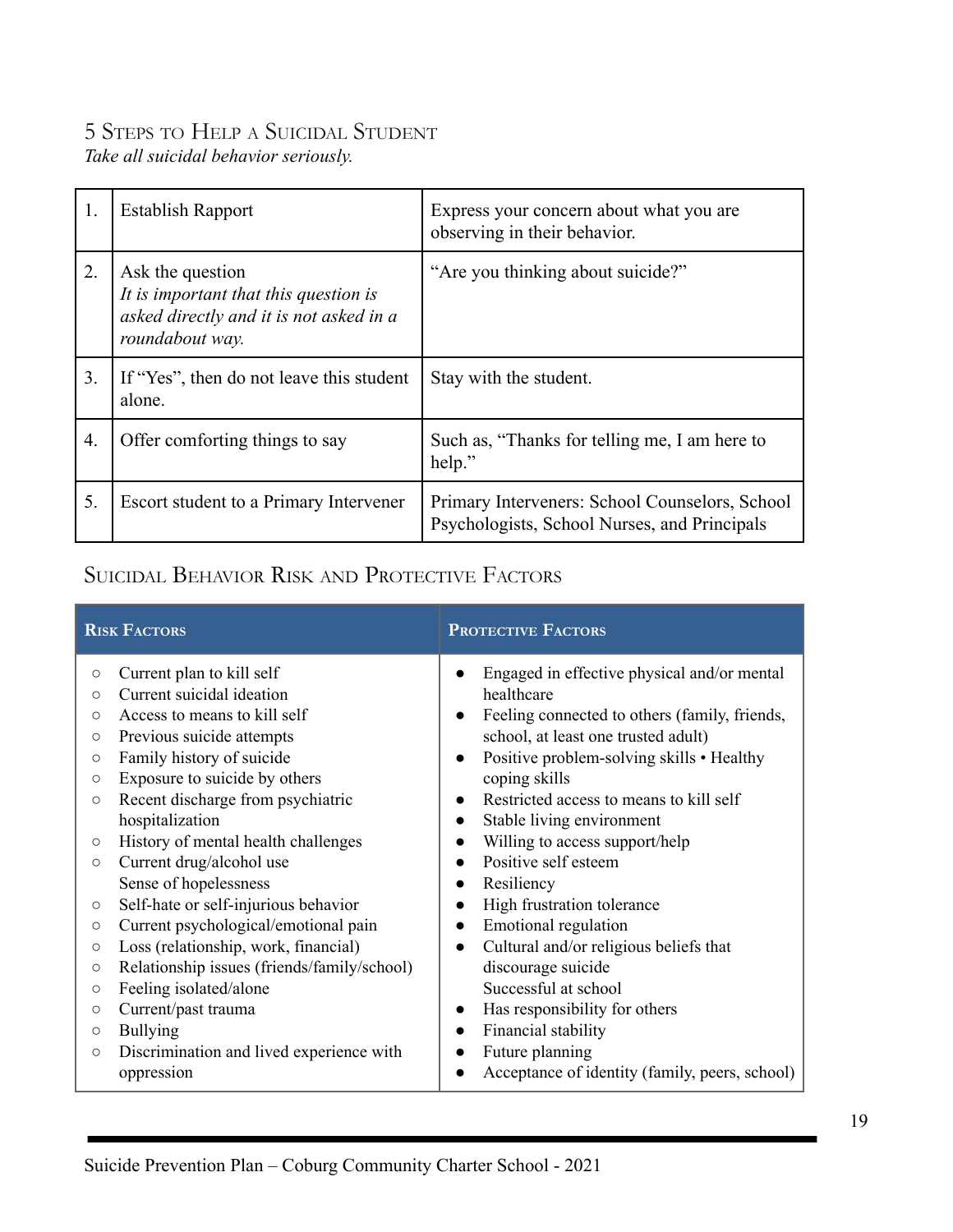# 5 STEPS TO HELP A SUICIDAL STUDENT

*Take all suicidal behavior seriously.*

| 1. | <b>Establish Rapport</b>                                                                                                | Express your concern about what you are<br>observing in their behavior.                        |
|----|-------------------------------------------------------------------------------------------------------------------------|------------------------------------------------------------------------------------------------|
| 2. | Ask the question<br>It is important that this question is<br>asked directly and it is not asked in a<br>roundabout way. | "Are you thinking about suicide?"                                                              |
| 3. | If "Yes", then do not leave this student<br>alone.                                                                      | Stay with the student.                                                                         |
| 4. | Offer comforting things to say                                                                                          | Such as, "Thanks for telling me, I am here to<br>help."                                        |
| 5. | Escort student to a Primary Intervener                                                                                  | Primary Interveners: School Counselors, School<br>Psychologists, School Nurses, and Principals |

# SUICIDAL BEHAVIOR RISK AND PROTECTIVE FACTORS

|                                                                            | <b>RISK FACTORS</b>                                                                                                                                                               | <b>PROTECTIVE FACTORS</b>                                                                                                                                                                                                    |
|----------------------------------------------------------------------------|-----------------------------------------------------------------------------------------------------------------------------------------------------------------------------------|------------------------------------------------------------------------------------------------------------------------------------------------------------------------------------------------------------------------------|
| $\circ$<br>$\circ$<br>$\circ$<br>$\circlearrowright$<br>$\circ$<br>$\circ$ | Current plan to kill self<br>Current suicidal ideation<br>Access to means to kill self<br>Previous suicide attempts<br>Family history of suicide<br>Exposure to suicide by others | Engaged in effective physical and/or mental<br>healthcare<br>Feeling connected to others (family, friends,<br>school, at least one trusted adult)<br>Positive problem-solving skills • Healthy<br>$\bullet$<br>coping skills |
| $\circ$<br>$\circ$                                                         | Recent discharge from psychiatric<br>hospitalization<br>History of mental health challenges                                                                                       | Restricted access to means to kill self<br>Stable living environment<br>Willing to access support/help<br>Positive self esteem                                                                                               |
| $\circ$<br>$\circlearrowright$<br>$\circlearrowright$                      | Current drug/alcohol use<br>Sense of hopelessness<br>Self-hate or self-injurious behavior<br>Current psychological/emotional pain                                                 | Resiliency<br>$\bullet$<br>High frustration tolerance<br><b>Emotional regulation</b>                                                                                                                                         |
| $\circ$<br>$\circ$<br>$\circlearrowright$<br>$\circ$<br>$\circ$            | Loss (relationship, work, financial)<br>Relationship issues (friends/family/school)<br>Feeling isolated/alone<br>Current/past trauma<br><b>Bullying</b>                           | Cultural and/or religious beliefs that<br>$\bullet$<br>discourage suicide<br>Successful at school<br>Has responsibility for others<br>Financial stability<br>$\bullet$                                                       |
| $\circ$                                                                    | Discrimination and lived experience with<br>oppression                                                                                                                            | Future planning<br>Acceptance of identity (family, peers, school)                                                                                                                                                            |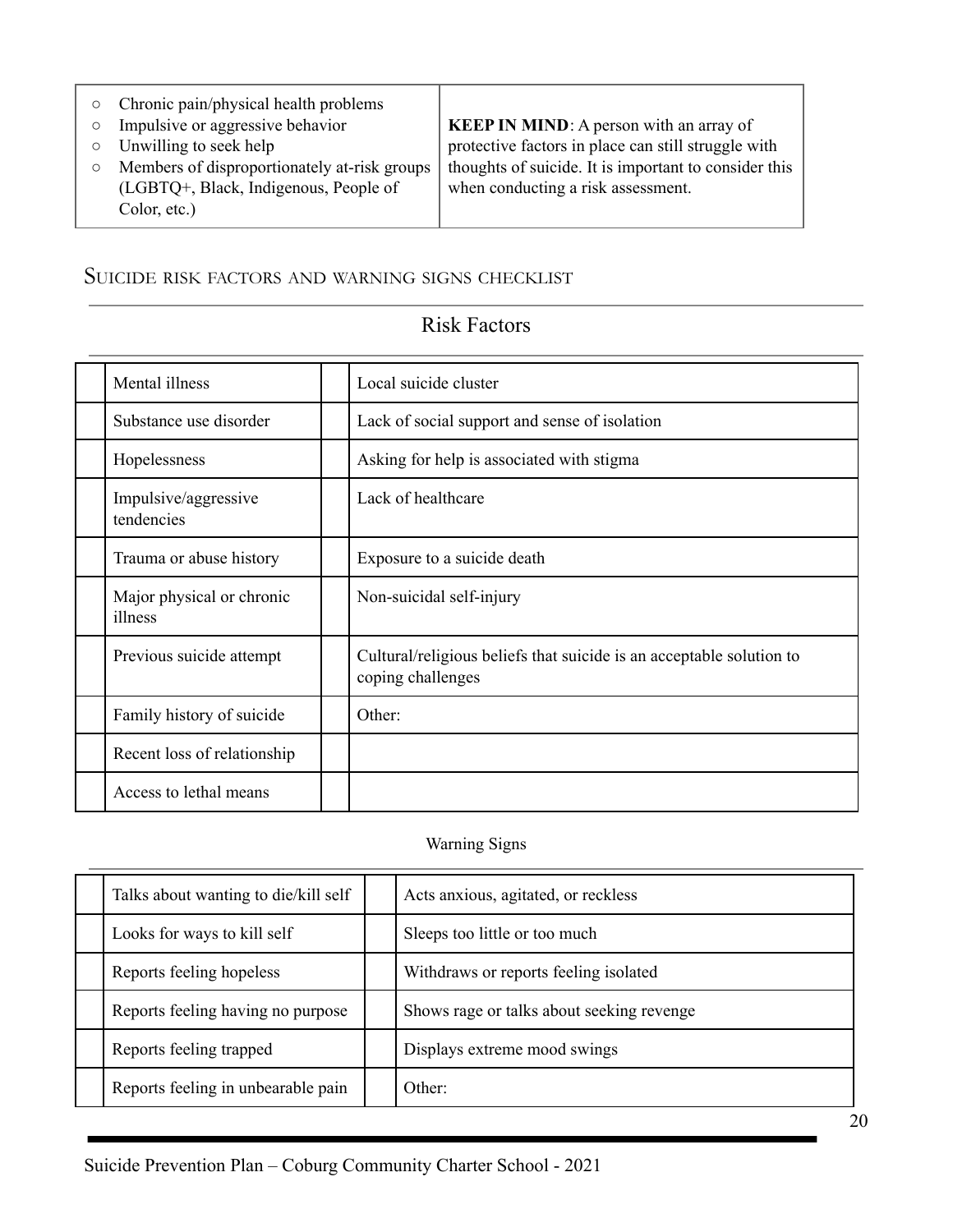- Chronic pain/physical health problems
- Impulsive or aggressive behavior
- Unwilling to seek help
- Members of disproportionately at-risk groups (LGBTQ+, Black, Indigenous, People of Color, etc.)

**KEEP IN MIND**: A person with an array of protective factors in place can still struggle with thoughts of suicide. It is important to consider this when conducting a risk assessment.

## SUICIDE RISK FACTORS AND WARNING SIGNS CHECKLIST

# Risk Factors

| Mental illness                       | Local suicide cluster                                                                     |
|--------------------------------------|-------------------------------------------------------------------------------------------|
| Substance use disorder               | Lack of social support and sense of isolation                                             |
| Hopelessness                         | Asking for help is associated with stigma                                                 |
| Impulsive/aggressive<br>tendencies   | Lack of healthcare                                                                        |
| Trauma or abuse history              | Exposure to a suicide death                                                               |
| Major physical or chronic<br>illness | Non-suicidal self-injury                                                                  |
| Previous suicide attempt             | Cultural/religious beliefs that suicide is an acceptable solution to<br>coping challenges |
| Family history of suicide            | Other:                                                                                    |
| Recent loss of relationship          |                                                                                           |
| Access to lethal means               |                                                                                           |

#### Warning Signs

| Talks about wanting to die/kill self | Acts anxious, agitated, or reckless       |
|--------------------------------------|-------------------------------------------|
| Looks for ways to kill self          | Sleeps too little or too much             |
| Reports feeling hopeless             | Withdraws or reports feeling isolated     |
| Reports feeling having no purpose    | Shows rage or talks about seeking revenge |
| Reports feeling trapped              | Displays extreme mood swings              |
| Reports feeling in unbearable pain   | $Other+$                                  |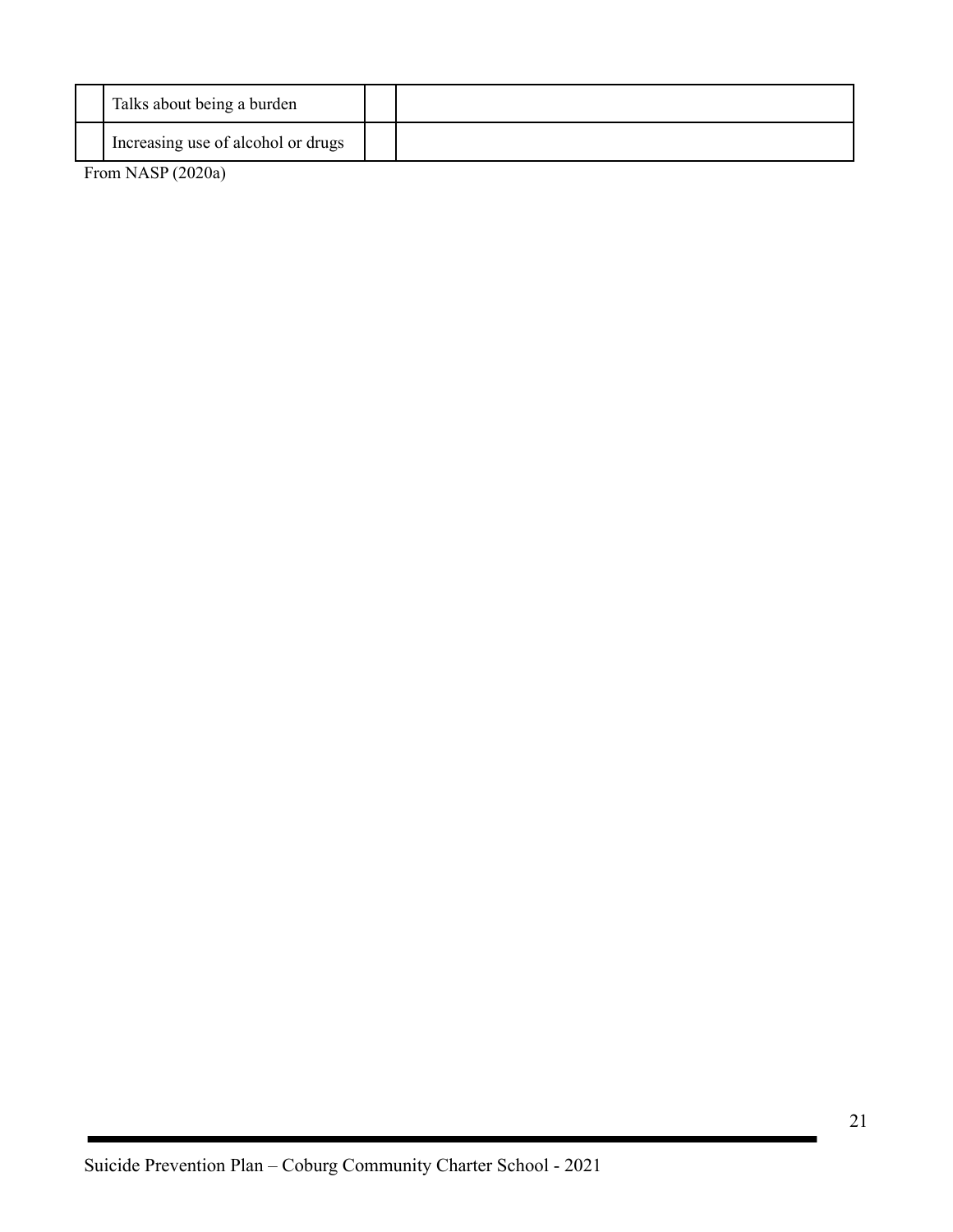| Talks about being a burden         |  |
|------------------------------------|--|
| Increasing use of alcohol or drugs |  |

From NASP (2020a)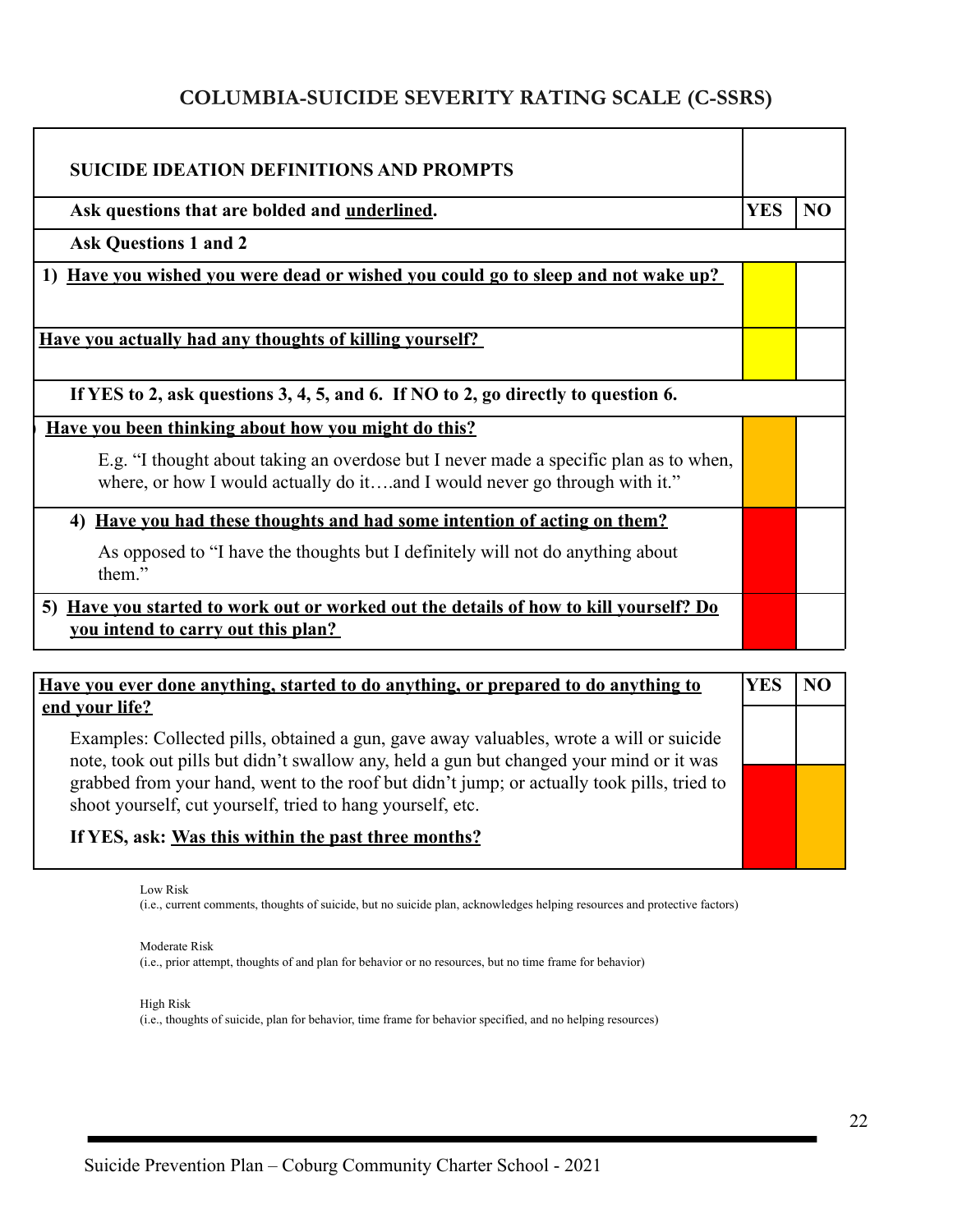# **COLUMBIA-SUICIDE SEVERITY RATING SCALE (C-SSRS)**

| <b>SUICIDE IDEATION DEFINITIONS AND PROMPTS</b>                                                                                                                     |            |    |
|---------------------------------------------------------------------------------------------------------------------------------------------------------------------|------------|----|
| Ask questions that are bolded and <u>underlined</u> .                                                                                                               | <b>YES</b> | NO |
| <b>Ask Questions 1 and 2</b>                                                                                                                                        |            |    |
| 1) Have you wished you were dead or wished you could go to sleep and not wake up?                                                                                   |            |    |
| Have you actually had any thoughts of killing yourself?                                                                                                             |            |    |
| If YES to 2, ask questions 3, 4, 5, and 6. If NO to 2, go directly to question 6.                                                                                   |            |    |
| <u>Have vou been thinking about how you might do this?</u>                                                                                                          |            |    |
| E.g. "I thought about taking an overdose but I never made a specific plan as to when,<br>where, or how I would actually do itand I would never go through with it." |            |    |
| <u>Have you had these thoughts and had some intention of acting on them?</u><br>4)                                                                                  |            |    |
| As opposed to "I have the thoughts but I definitely will not do anything about<br>them."                                                                            |            |    |
| 5) Have you started to work out or worked out the details of how to kill yourself? Do<br>you intend to carry out this plan?                                         |            |    |

| Have you ever done anything, started to do anything, or prepared to do anything to                                                                                                                   | Y ES |  |
|------------------------------------------------------------------------------------------------------------------------------------------------------------------------------------------------------|------|--|
| end your life?<br>Examples: Collected pills, obtained a gun, gave away valuables, wrote a will or suicide<br>note, took out pills but didn't swallow any, held a gun but changed your mind or it was |      |  |
| grabbed from your hand, went to the roof but didn't jump; or actually took pills, tried to<br>shoot yourself, cut yourself, tried to hang yourself, etc.                                             |      |  |
| If YES, ask: Was this within the past three months?                                                                                                                                                  |      |  |

Low Risk

(i.e., current comments, thoughts of suicide, but no suicide plan, acknowledges helping resources and protective factors)

Moderate Risk (i.e., prior attempt, thoughts of and plan for behavior or no resources, but no time frame for behavior)

High Risk (i.e., thoughts of suicide, plan for behavior, time frame for behavior specified, and no helping resources)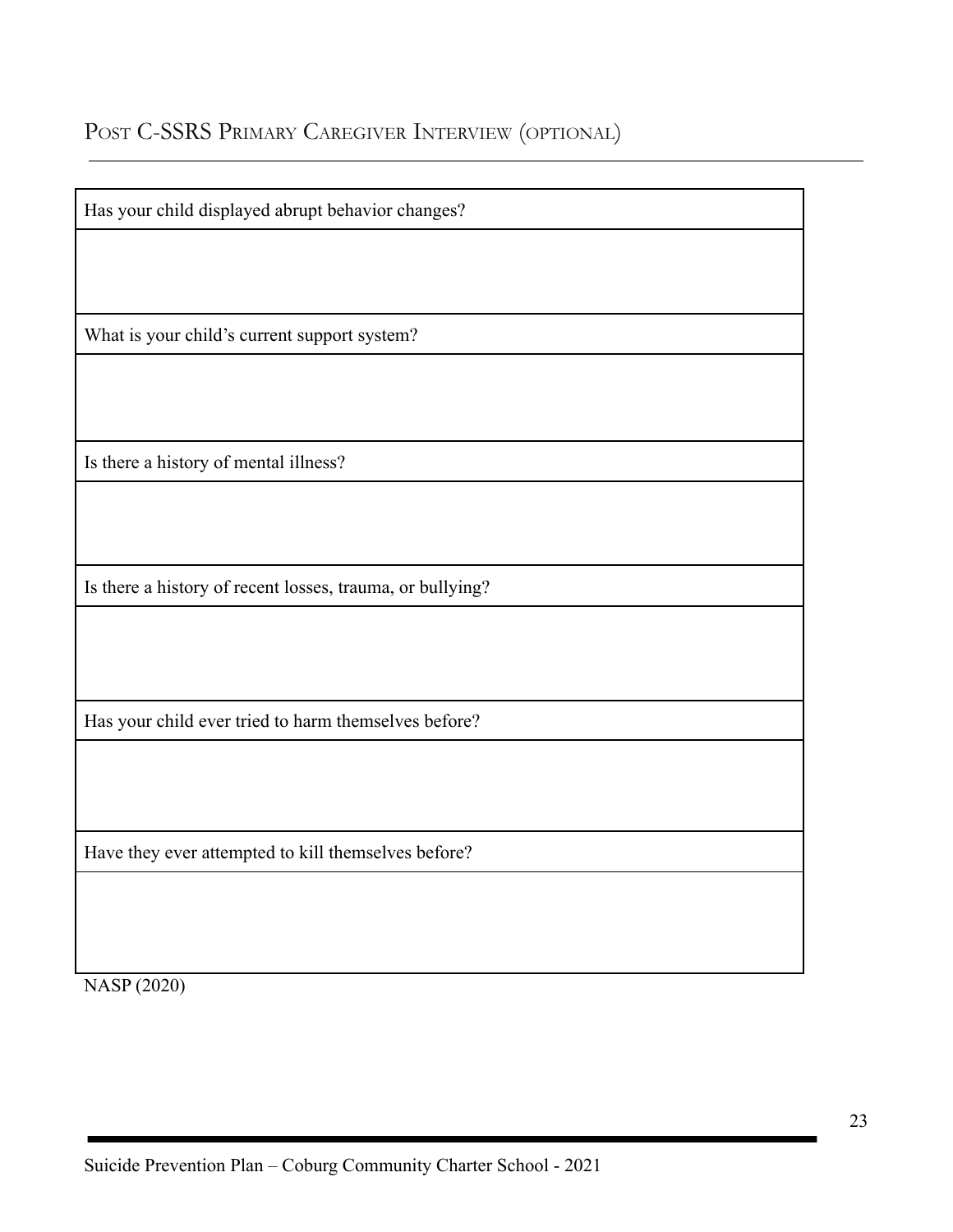# POST C-SSRS PRIMARY CAREGIVER INTERVIEW (OPTIONAL)

| Has your child displayed abrupt behavior changes?         |
|-----------------------------------------------------------|
|                                                           |
|                                                           |
| What is your child's current support system?              |
|                                                           |
|                                                           |
| Is there a history of mental illness?                     |
|                                                           |
|                                                           |
| Is there a history of recent losses, trauma, or bullying? |
|                                                           |
|                                                           |
| Has your child ever tried to harm themselves before?      |
|                                                           |
|                                                           |
| Have they ever attempted to kill themselves before?       |
|                                                           |
|                                                           |
|                                                           |
| <b>NASP</b> (2020)                                        |